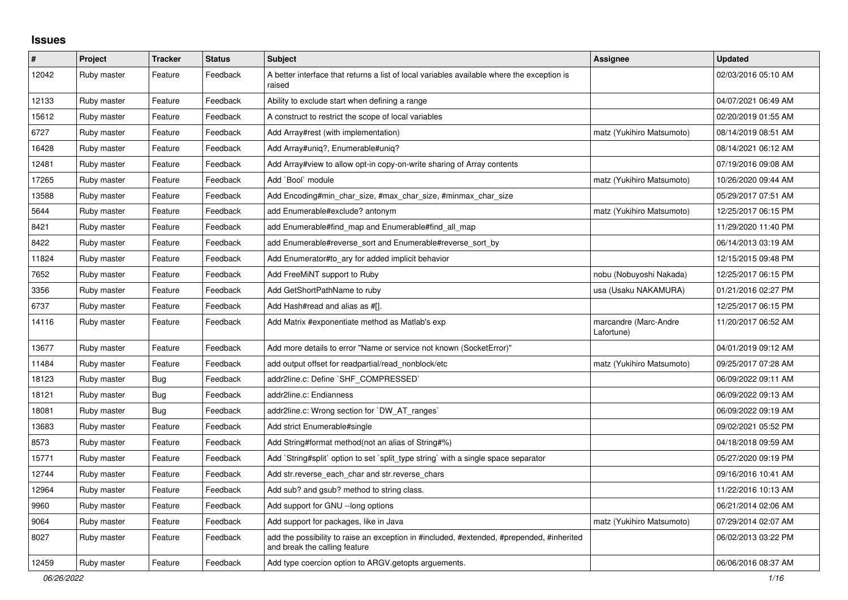## **Issues**

| $\pmb{\#}$ | Project     | <b>Tracker</b> | <b>Status</b> | <b>Subject</b>                                                                                                             | Assignee                            | <b>Updated</b>      |
|------------|-------------|----------------|---------------|----------------------------------------------------------------------------------------------------------------------------|-------------------------------------|---------------------|
| 12042      | Ruby master | Feature        | Feedback      | A better interface that returns a list of local variables available where the exception is<br>raised                       |                                     | 02/03/2016 05:10 AM |
| 12133      | Ruby master | Feature        | Feedback      | Ability to exclude start when defining a range                                                                             |                                     | 04/07/2021 06:49 AM |
| 15612      | Ruby master | Feature        | Feedback      | A construct to restrict the scope of local variables                                                                       |                                     | 02/20/2019 01:55 AM |
| 6727       | Ruby master | Feature        | Feedback      | Add Array#rest (with implementation)                                                                                       | matz (Yukihiro Matsumoto)           | 08/14/2019 08:51 AM |
| 16428      | Ruby master | Feature        | Feedback      | Add Array#uniq?, Enumerable#uniq?                                                                                          |                                     | 08/14/2021 06:12 AM |
| 12481      | Ruby master | Feature        | Feedback      | Add Array#view to allow opt-in copy-on-write sharing of Array contents                                                     |                                     | 07/19/2016 09:08 AM |
| 17265      | Ruby master | Feature        | Feedback      | Add `Bool` module                                                                                                          | matz (Yukihiro Matsumoto)           | 10/26/2020 09:44 AM |
| 13588      | Ruby master | Feature        | Feedback      | Add Encoding#min_char_size, #max_char_size, #minmax_char_size                                                              |                                     | 05/29/2017 07:51 AM |
| 5644       | Ruby master | Feature        | Feedback      | add Enumerable#exclude? antonym                                                                                            | matz (Yukihiro Matsumoto)           | 12/25/2017 06:15 PM |
| 8421       | Ruby master | Feature        | Feedback      | add Enumerable#find map and Enumerable#find all map                                                                        |                                     | 11/29/2020 11:40 PM |
| 8422       | Ruby master | Feature        | Feedback      | add Enumerable#reverse_sort and Enumerable#reverse_sort_by                                                                 |                                     | 06/14/2013 03:19 AM |
| 11824      | Ruby master | Feature        | Feedback      | Add Enumerator#to_ary for added implicit behavior                                                                          |                                     | 12/15/2015 09:48 PM |
| 7652       | Ruby master | Feature        | Feedback      | Add FreeMiNT support to Ruby                                                                                               | nobu (Nobuyoshi Nakada)             | 12/25/2017 06:15 PM |
| 3356       | Ruby master | Feature        | Feedback      | Add GetShortPathName to ruby                                                                                               | usa (Usaku NAKAMURA)                | 01/21/2016 02:27 PM |
| 6737       | Ruby master | Feature        | Feedback      | Add Hash#read and alias as #[].                                                                                            |                                     | 12/25/2017 06:15 PM |
| 14116      | Ruby master | Feature        | Feedback      | Add Matrix #exponentiate method as Matlab's exp                                                                            | marcandre (Marc-Andre<br>Lafortune) | 11/20/2017 06:52 AM |
| 13677      | Ruby master | Feature        | Feedback      | Add more details to error "Name or service not known (SocketError)"                                                        |                                     | 04/01/2019 09:12 AM |
| 11484      | Ruby master | Feature        | Feedback      | add output offset for readpartial/read nonblock/etc                                                                        | matz (Yukihiro Matsumoto)           | 09/25/2017 07:28 AM |
| 18123      | Ruby master | Bug            | Feedback      | addr2line.c: Define `SHF_COMPRESSED`                                                                                       |                                     | 06/09/2022 09:11 AM |
| 18121      | Ruby master | Bug            | Feedback      | addr2line.c: Endianness                                                                                                    |                                     | 06/09/2022 09:13 AM |
| 18081      | Ruby master | Bug            | Feedback      | addr2line.c: Wrong section for `DW_AT_ranges`                                                                              |                                     | 06/09/2022 09:19 AM |
| 13683      | Ruby master | Feature        | Feedback      | Add strict Enumerable#single                                                                                               |                                     | 09/02/2021 05:52 PM |
| 8573       | Ruby master | Feature        | Feedback      | Add String#format method(not an alias of String#%)                                                                         |                                     | 04/18/2018 09:59 AM |
| 15771      | Ruby master | Feature        | Feedback      | Add `String#split` option to set `split_type string` with a single space separator                                         |                                     | 05/27/2020 09:19 PM |
| 12744      | Ruby master | Feature        | Feedback      | Add str.reverse_each_char and str.reverse_chars                                                                            |                                     | 09/16/2016 10:41 AM |
| 12964      | Ruby master | Feature        | Feedback      | Add sub? and gsub? method to string class.                                                                                 |                                     | 11/22/2016 10:13 AM |
| 9960       | Ruby master | Feature        | Feedback      | Add support for GNU --long options                                                                                         |                                     | 06/21/2014 02:06 AM |
| 9064       | Ruby master | Feature        | Feedback      | Add support for packages, like in Java                                                                                     | matz (Yukihiro Matsumoto)           | 07/29/2014 02:07 AM |
| 8027       | Ruby master | Feature        | Feedback      | add the possibility to raise an exception in #included, #extended, #prepended, #inherited<br>and break the calling feature |                                     | 06/02/2013 03:22 PM |
| 12459      | Ruby master | Feature        | Feedback      | Add type coercion option to ARGV getopts arguements.                                                                       |                                     | 06/06/2016 08:37 AM |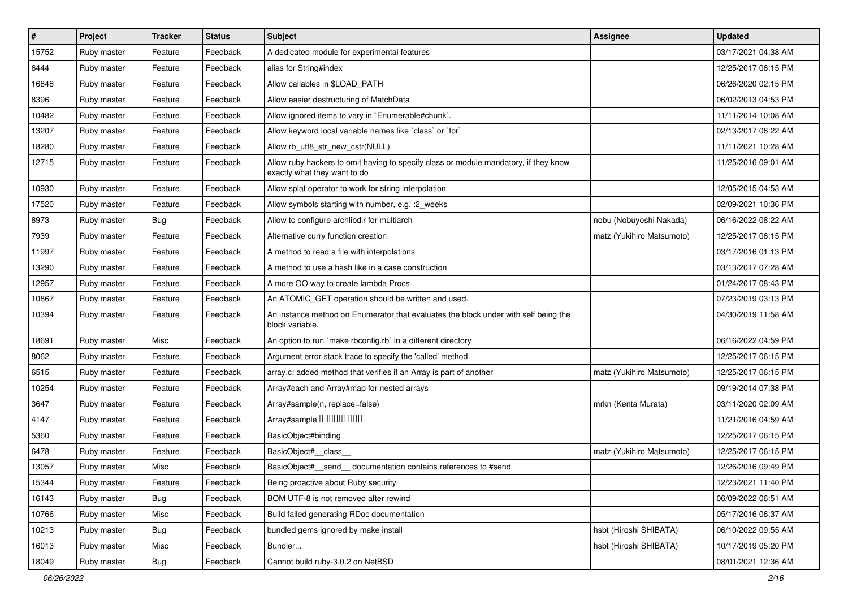| $\sharp$ | Project     | <b>Tracker</b> | <b>Status</b> | Subject                                                                                                              | <b>Assignee</b>           | <b>Updated</b>      |
|----------|-------------|----------------|---------------|----------------------------------------------------------------------------------------------------------------------|---------------------------|---------------------|
| 15752    | Ruby master | Feature        | Feedback      | A dedicated module for experimental features                                                                         |                           | 03/17/2021 04:38 AM |
| 6444     | Ruby master | Feature        | Feedback      | alias for String#index                                                                                               |                           | 12/25/2017 06:15 PM |
| 16848    | Ruby master | Feature        | Feedback      | Allow callables in \$LOAD_PATH                                                                                       |                           | 06/26/2020 02:15 PM |
| 8396     | Ruby master | Feature        | Feedback      | Allow easier destructuring of MatchData                                                                              |                           | 06/02/2013 04:53 PM |
| 10482    | Ruby master | Feature        | Feedback      | Allow ignored items to vary in `Enumerable#chunk`.                                                                   |                           | 11/11/2014 10:08 AM |
| 13207    | Ruby master | Feature        | Feedback      | Allow keyword local variable names like `class` or `for`                                                             |                           | 02/13/2017 06:22 AM |
| 18280    | Ruby master | Feature        | Feedback      | Allow rb_utf8_str_new_cstr(NULL)                                                                                     |                           | 11/11/2021 10:28 AM |
| 12715    | Ruby master | Feature        | Feedback      | Allow ruby hackers to omit having to specify class or module mandatory, if they know<br>exactly what they want to do |                           | 11/25/2016 09:01 AM |
| 10930    | Ruby master | Feature        | Feedback      | Allow splat operator to work for string interpolation                                                                |                           | 12/05/2015 04:53 AM |
| 17520    | Ruby master | Feature        | Feedback      | Allow symbols starting with number, e.g. : 2_weeks                                                                   |                           | 02/09/2021 10:36 PM |
| 8973     | Ruby master | <b>Bug</b>     | Feedback      | Allow to configure archlibdir for multiarch                                                                          | nobu (Nobuyoshi Nakada)   | 06/16/2022 08:22 AM |
| 7939     | Ruby master | Feature        | Feedback      | Alternative curry function creation                                                                                  | matz (Yukihiro Matsumoto) | 12/25/2017 06:15 PM |
| 11997    | Ruby master | Feature        | Feedback      | A method to read a file with interpolations                                                                          |                           | 03/17/2016 01:13 PM |
| 13290    | Ruby master | Feature        | Feedback      | A method to use a hash like in a case construction                                                                   |                           | 03/13/2017 07:28 AM |
| 12957    | Ruby master | Feature        | Feedback      | A more OO way to create lambda Procs                                                                                 |                           | 01/24/2017 08:43 PM |
| 10867    | Ruby master | Feature        | Feedback      | An ATOMIC_GET operation should be written and used.                                                                  |                           | 07/23/2019 03:13 PM |
| 10394    | Ruby master | Feature        | Feedback      | An instance method on Enumerator that evaluates the block under with self being the<br>block variable.               |                           | 04/30/2019 11:58 AM |
| 18691    | Ruby master | Misc           | Feedback      | An option to run `make rbconfig.rb` in a different directory                                                         |                           | 06/16/2022 04:59 PM |
| 8062     | Ruby master | Feature        | Feedback      | Argument error stack trace to specify the 'called' method                                                            |                           | 12/25/2017 06:15 PM |
| 6515     | Ruby master | Feature        | Feedback      | array.c: added method that verifies if an Array is part of another                                                   | matz (Yukihiro Matsumoto) | 12/25/2017 06:15 PM |
| 10254    | Ruby master | Feature        | Feedback      | Array#each and Array#map for nested arrays                                                                           |                           | 09/19/2014 07:38 PM |
| 3647     | Ruby master | Feature        | Feedback      | Array#sample(n, replace=false)                                                                                       | mrkn (Kenta Murata)       | 03/11/2020 02:09 AM |
| 4147     | Ruby master | Feature        | Feedback      | Array#sample 00000000                                                                                                |                           | 11/21/2016 04:59 AM |
| 5360     | Ruby master | Feature        | Feedback      | BasicObject#binding                                                                                                  |                           | 12/25/2017 06:15 PM |
| 6478     | Ruby master | Feature        | Feedback      | BasicObject#__class_                                                                                                 | matz (Yukihiro Matsumoto) | 12/25/2017 06:15 PM |
| 13057    | Ruby master | Misc           | Feedback      | BasicObject#_send_ documentation contains references to #send                                                        |                           | 12/26/2016 09:49 PM |
| 15344    | Ruby master | Feature        | Feedback      | Being proactive about Ruby security                                                                                  |                           | 12/23/2021 11:40 PM |
| 16143    | Ruby master | <b>Bug</b>     | Feedback      | BOM UTF-8 is not removed after rewind                                                                                |                           | 06/09/2022 06:51 AM |
| 10766    | Ruby master | Misc           | Feedback      | Build failed generating RDoc documentation                                                                           |                           | 05/17/2016 06:37 AM |
| 10213    | Ruby master | Bug            | Feedback      | bundled gems ignored by make install                                                                                 | hsbt (Hiroshi SHIBATA)    | 06/10/2022 09:55 AM |
| 16013    | Ruby master | Misc           | Feedback      | Bundler                                                                                                              | hsbt (Hiroshi SHIBATA)    | 10/17/2019 05:20 PM |
| 18049    | Ruby master | Bug            | Feedback      | Cannot build ruby-3.0.2 on NetBSD                                                                                    |                           | 08/01/2021 12:36 AM |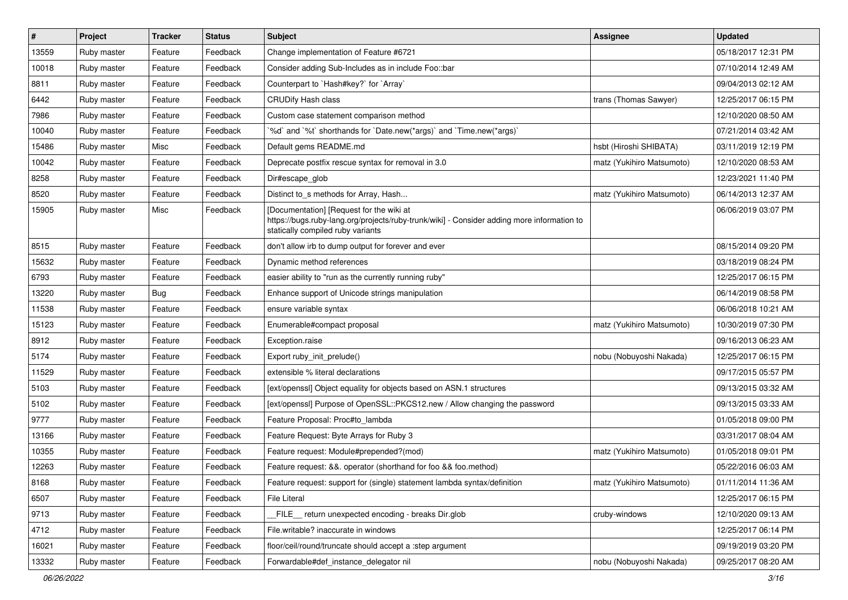| $\vert$ # | Project     | <b>Tracker</b> | <b>Status</b> | Subject                                                                                                                                                                     | Assignee                  | <b>Updated</b>      |
|-----------|-------------|----------------|---------------|-----------------------------------------------------------------------------------------------------------------------------------------------------------------------------|---------------------------|---------------------|
| 13559     | Ruby master | Feature        | Feedback      | Change implementation of Feature #6721                                                                                                                                      |                           | 05/18/2017 12:31 PM |
| 10018     | Ruby master | Feature        | Feedback      | Consider adding Sub-Includes as in include Foo::bar                                                                                                                         |                           | 07/10/2014 12:49 AM |
| 8811      | Ruby master | Feature        | Feedback      | Counterpart to `Hash#key?` for `Array`                                                                                                                                      |                           | 09/04/2013 02:12 AM |
| 6442      | Ruby master | Feature        | Feedback      | <b>CRUDify Hash class</b>                                                                                                                                                   | trans (Thomas Sawyer)     | 12/25/2017 06:15 PM |
| 7986      | Ruby master | Feature        | Feedback      | Custom case statement comparison method                                                                                                                                     |                           | 12/10/2020 08:50 AM |
| 10040     | Ruby master | Feature        | Feedback      | '%d' and '%t' shorthands for 'Date.new(*args)' and 'Time.new(*args)'                                                                                                        |                           | 07/21/2014 03:42 AM |
| 15486     | Ruby master | Misc           | Feedback      | Default gems README.md                                                                                                                                                      | hsbt (Hiroshi SHIBATA)    | 03/11/2019 12:19 PM |
| 10042     | Ruby master | Feature        | Feedback      | Deprecate postfix rescue syntax for removal in 3.0                                                                                                                          | matz (Yukihiro Matsumoto) | 12/10/2020 08:53 AM |
| 8258      | Ruby master | Feature        | Feedback      | Dir#escape_glob                                                                                                                                                             |                           | 12/23/2021 11:40 PM |
| 8520      | Ruby master | Feature        | Feedback      | Distinct to_s methods for Array, Hash                                                                                                                                       | matz (Yukihiro Matsumoto) | 06/14/2013 12:37 AM |
| 15905     | Ruby master | Misc           | Feedback      | [Documentation] [Request for the wiki at<br>https://bugs.ruby-lang.org/projects/ruby-trunk/wiki] - Consider adding more information to<br>statically compiled ruby variants |                           | 06/06/2019 03:07 PM |
| 8515      | Ruby master | Feature        | Feedback      | don't allow irb to dump output for forever and ever                                                                                                                         |                           | 08/15/2014 09:20 PM |
| 15632     | Ruby master | Feature        | Feedback      | Dynamic method references                                                                                                                                                   |                           | 03/18/2019 08:24 PM |
| 6793      | Ruby master | Feature        | Feedback      | easier ability to "run as the currently running ruby"                                                                                                                       |                           | 12/25/2017 06:15 PM |
| 13220     | Ruby master | Bug            | Feedback      | Enhance support of Unicode strings manipulation                                                                                                                             |                           | 06/14/2019 08:58 PM |
| 11538     | Ruby master | Feature        | Feedback      | ensure variable syntax                                                                                                                                                      |                           | 06/06/2018 10:21 AM |
| 15123     | Ruby master | Feature        | Feedback      | Enumerable#compact proposal                                                                                                                                                 | matz (Yukihiro Matsumoto) | 10/30/2019 07:30 PM |
| 8912      | Ruby master | Feature        | Feedback      | Exception.raise                                                                                                                                                             |                           | 09/16/2013 06:23 AM |
| 5174      | Ruby master | Feature        | Feedback      | Export ruby_init_prelude()                                                                                                                                                  | nobu (Nobuyoshi Nakada)   | 12/25/2017 06:15 PM |
| 11529     | Ruby master | Feature        | Feedback      | extensible % literal declarations                                                                                                                                           |                           | 09/17/2015 05:57 PM |
| 5103      | Ruby master | Feature        | Feedback      | [ext/openssl] Object equality for objects based on ASN.1 structures                                                                                                         |                           | 09/13/2015 03:32 AM |
| 5102      | Ruby master | Feature        | Feedback      | [ext/openssl] Purpose of OpenSSL::PKCS12.new / Allow changing the password                                                                                                  |                           | 09/13/2015 03:33 AM |
| 9777      | Ruby master | Feature        | Feedback      | Feature Proposal: Proc#to_lambda                                                                                                                                            |                           | 01/05/2018 09:00 PM |
| 13166     | Ruby master | Feature        | Feedback      | Feature Request: Byte Arrays for Ruby 3                                                                                                                                     |                           | 03/31/2017 08:04 AM |
| 10355     | Ruby master | Feature        | Feedback      | Feature request: Module#prepended?(mod)                                                                                                                                     | matz (Yukihiro Matsumoto) | 01/05/2018 09:01 PM |
| 12263     | Ruby master | Feature        | Feedback      | Feature request: &&. operator (shorthand for foo && foo.method)                                                                                                             |                           | 05/22/2016 06:03 AM |
| 8168      | Ruby master | Feature        | Feedback      | Feature request: support for (single) statement lambda syntax/definition                                                                                                    | matz (Yukihiro Matsumoto) | 01/11/2014 11:36 AM |
| 6507      | Ruby master | Feature        | Feedback      | File Literal                                                                                                                                                                |                           | 12/25/2017 06:15 PM |
| 9713      | Ruby master | Feature        | Feedback      | FILE return unexpected encoding - breaks Dir.glob                                                                                                                           | cruby-windows             | 12/10/2020 09:13 AM |
| 4712      | Ruby master | Feature        | Feedback      | File.writable? inaccurate in windows                                                                                                                                        |                           | 12/25/2017 06:14 PM |
| 16021     | Ruby master | Feature        | Feedback      | floor/ceil/round/truncate should accept a :step argument                                                                                                                    |                           | 09/19/2019 03:20 PM |
| 13332     | Ruby master | Feature        | Feedback      | Forwardable#def instance delegator nil                                                                                                                                      | nobu (Nobuyoshi Nakada)   | 09/25/2017 08:20 AM |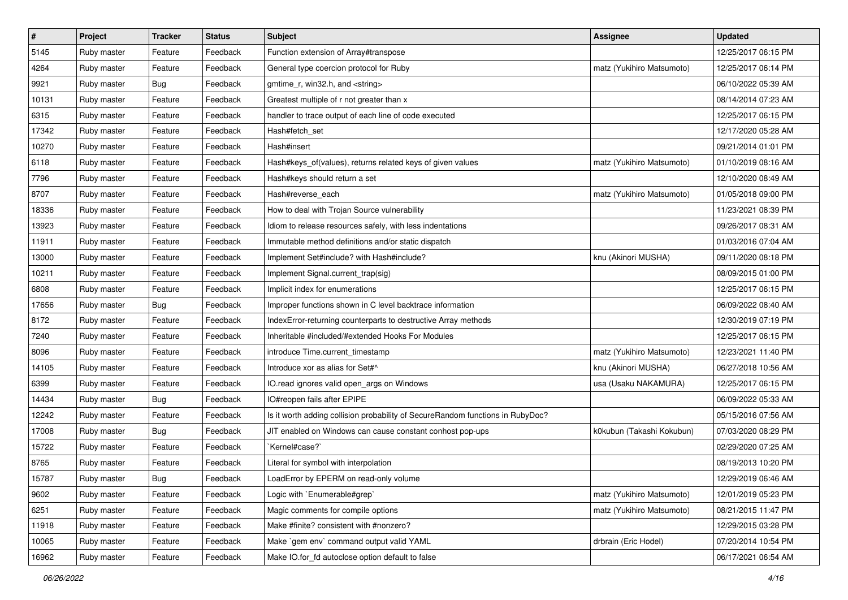| $\sharp$ | Project     | <b>Tracker</b> | <b>Status</b> | Subject                                                                        | <b>Assignee</b>           | <b>Updated</b>      |
|----------|-------------|----------------|---------------|--------------------------------------------------------------------------------|---------------------------|---------------------|
| 5145     | Ruby master | Feature        | Feedback      | Function extension of Array#transpose                                          |                           | 12/25/2017 06:15 PM |
| 4264     | Ruby master | Feature        | Feedback      | General type coercion protocol for Ruby                                        | matz (Yukihiro Matsumoto) | 12/25/2017 06:14 PM |
| 9921     | Ruby master | Bug            | Feedback      | gmtime_r, win32.h, and <string></string>                                       |                           | 06/10/2022 05:39 AM |
| 10131    | Ruby master | Feature        | Feedback      | Greatest multiple of r not greater than x                                      |                           | 08/14/2014 07:23 AM |
| 6315     | Ruby master | Feature        | Feedback      | handler to trace output of each line of code executed                          |                           | 12/25/2017 06:15 PM |
| 17342    | Ruby master | Feature        | Feedback      | Hash#fetch_set                                                                 |                           | 12/17/2020 05:28 AM |
| 10270    | Ruby master | Feature        | Feedback      | Hash#insert                                                                    |                           | 09/21/2014 01:01 PM |
| 6118     | Ruby master | Feature        | Feedback      | Hash#keys_of(values), returns related keys of given values                     | matz (Yukihiro Matsumoto) | 01/10/2019 08:16 AM |
| 7796     | Ruby master | Feature        | Feedback      | Hash#keys should return a set                                                  |                           | 12/10/2020 08:49 AM |
| 8707     | Ruby master | Feature        | Feedback      | Hash#reverse_each                                                              | matz (Yukihiro Matsumoto) | 01/05/2018 09:00 PM |
| 18336    | Ruby master | Feature        | Feedback      | How to deal with Trojan Source vulnerability                                   |                           | 11/23/2021 08:39 PM |
| 13923    | Ruby master | Feature        | Feedback      | Idiom to release resources safely, with less indentations                      |                           | 09/26/2017 08:31 AM |
| 11911    | Ruby master | Feature        | Feedback      | Immutable method definitions and/or static dispatch                            |                           | 01/03/2016 07:04 AM |
| 13000    | Ruby master | Feature        | Feedback      | Implement Set#include? with Hash#include?                                      | knu (Akinori MUSHA)       | 09/11/2020 08:18 PM |
| 10211    | Ruby master | Feature        | Feedback      | Implement Signal.current_trap(sig)                                             |                           | 08/09/2015 01:00 PM |
| 6808     | Ruby master | Feature        | Feedback      | Implicit index for enumerations                                                |                           | 12/25/2017 06:15 PM |
| 17656    | Ruby master | Bug            | Feedback      | Improper functions shown in C level backtrace information                      |                           | 06/09/2022 08:40 AM |
| 8172     | Ruby master | Feature        | Feedback      | IndexError-returning counterparts to destructive Array methods                 |                           | 12/30/2019 07:19 PM |
| 7240     | Ruby master | Feature        | Feedback      | Inheritable #included/#extended Hooks For Modules                              |                           | 12/25/2017 06:15 PM |
| 8096     | Ruby master | Feature        | Feedback      | introduce Time.current_timestamp                                               | matz (Yukihiro Matsumoto) | 12/23/2021 11:40 PM |
| 14105    | Ruby master | Feature        | Feedback      | Introduce xor as alias for Set#^                                               | knu (Akinori MUSHA)       | 06/27/2018 10:56 AM |
| 6399     | Ruby master | Feature        | Feedback      | IO.read ignores valid open_args on Windows                                     | usa (Usaku NAKAMURA)      | 12/25/2017 06:15 PM |
| 14434    | Ruby master | Bug            | Feedback      | IO#reopen fails after EPIPE                                                    |                           | 06/09/2022 05:33 AM |
| 12242    | Ruby master | Feature        | Feedback      | Is it worth adding collision probability of SecureRandom functions in RubyDoc? |                           | 05/15/2016 07:56 AM |
| 17008    | Ruby master | Bug            | Feedback      | JIT enabled on Windows can cause constant conhost pop-ups                      | k0kubun (Takashi Kokubun) | 07/03/2020 08:29 PM |
| 15722    | Ruby master | Feature        | Feedback      | `Kernel#case?`                                                                 |                           | 02/29/2020 07:25 AM |
| 8765     | Ruby master | Feature        | Feedback      | Literal for symbol with interpolation                                          |                           | 08/19/2013 10:20 PM |
| 15787    | Ruby master | i Bug          | Feedback      | LoadError by EPERM on read-only volume                                         |                           | 12/29/2019 06:46 AM |
| 9602     | Ruby master | Feature        | Feedback      | Logic with `Enumerable#grep`                                                   | matz (Yukihiro Matsumoto) | 12/01/2019 05:23 PM |
| 6251     | Ruby master | Feature        | Feedback      | Magic comments for compile options                                             | matz (Yukihiro Matsumoto) | 08/21/2015 11:47 PM |
| 11918    | Ruby master | Feature        | Feedback      | Make #finite? consistent with #nonzero?                                        |                           | 12/29/2015 03:28 PM |
| 10065    | Ruby master | Feature        | Feedback      | Make `gem env` command output valid YAML                                       | drbrain (Eric Hodel)      | 07/20/2014 10:54 PM |
| 16962    | Ruby master | Feature        | Feedback      | Make IO.for_fd autoclose option default to false                               |                           | 06/17/2021 06:54 AM |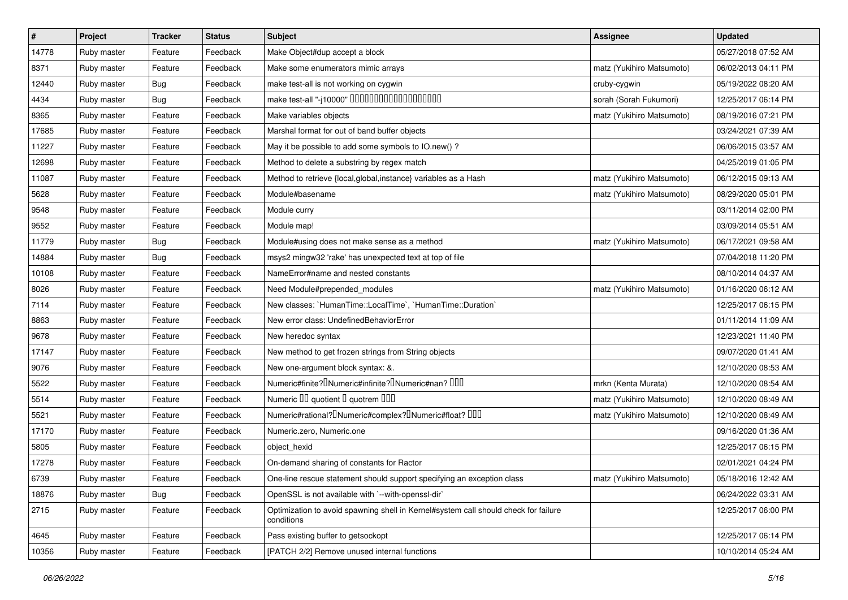| #     | Project     | <b>Tracker</b> | <b>Status</b> | Subject                                                                                           | <b>Assignee</b>           | <b>Updated</b>      |
|-------|-------------|----------------|---------------|---------------------------------------------------------------------------------------------------|---------------------------|---------------------|
| 14778 | Ruby master | Feature        | Feedback      | Make Object#dup accept a block                                                                    |                           | 05/27/2018 07:52 AM |
| 8371  | Ruby master | Feature        | Feedback      | Make some enumerators mimic arrays                                                                | matz (Yukihiro Matsumoto) | 06/02/2013 04:11 PM |
| 12440 | Ruby master | Bug            | Feedback      | make test-all is not working on cygwin                                                            | cruby-cygwin              | 05/19/2022 08:20 AM |
| 4434  | Ruby master | Bug            | Feedback      | make test-all "-j10000" 0000000000000000000                                                       | sorah (Sorah Fukumori)    | 12/25/2017 06:14 PM |
| 8365  | Ruby master | Feature        | Feedback      | Make variables objects                                                                            | matz (Yukihiro Matsumoto) | 08/19/2016 07:21 PM |
| 17685 | Ruby master | Feature        | Feedback      | Marshal format for out of band buffer objects                                                     |                           | 03/24/2021 07:39 AM |
| 11227 | Ruby master | Feature        | Feedback      | May it be possible to add some symbols to IO.new() ?                                              |                           | 06/06/2015 03:57 AM |
| 12698 | Ruby master | Feature        | Feedback      | Method to delete a substring by regex match                                                       |                           | 04/25/2019 01:05 PM |
| 11087 | Ruby master | Feature        | Feedback      | Method to retrieve {local, global, instance} variables as a Hash                                  | matz (Yukihiro Matsumoto) | 06/12/2015 09:13 AM |
| 5628  | Ruby master | Feature        | Feedback      | Module#basename                                                                                   | matz (Yukihiro Matsumoto) | 08/29/2020 05:01 PM |
| 9548  | Ruby master | Feature        | Feedback      | Module curry                                                                                      |                           | 03/11/2014 02:00 PM |
| 9552  | Ruby master | Feature        | Feedback      | Module map!                                                                                       |                           | 03/09/2014 05:51 AM |
| 11779 | Ruby master | <b>Bug</b>     | Feedback      | Module#using does not make sense as a method                                                      | matz (Yukihiro Matsumoto) | 06/17/2021 09:58 AM |
| 14884 | Ruby master | Bug            | Feedback      | msys2 mingw32 'rake' has unexpected text at top of file                                           |                           | 07/04/2018 11:20 PM |
| 10108 | Ruby master | Feature        | Feedback      | NameError#name and nested constants                                                               |                           | 08/10/2014 04:37 AM |
| 8026  | Ruby master | Feature        | Feedback      | Need Module#prepended_modules                                                                     | matz (Yukihiro Matsumoto) | 01/16/2020 06:12 AM |
| 7114  | Ruby master | Feature        | Feedback      | New classes: `HumanTime::LocalTime`, `HumanTime::Duration`                                        |                           | 12/25/2017 06:15 PM |
| 8863  | Ruby master | Feature        | Feedback      | New error class: UndefinedBehaviorError                                                           |                           | 01/11/2014 11:09 AM |
| 9678  | Ruby master | Feature        | Feedback      | New heredoc syntax                                                                                |                           | 12/23/2021 11:40 PM |
| 17147 | Ruby master | Feature        | Feedback      | New method to get frozen strings from String objects                                              |                           | 09/07/2020 01:41 AM |
| 9076  | Ruby master | Feature        | Feedback      | New one-argument block syntax: &.                                                                 |                           | 12/10/2020 08:53 AM |
| 5522  | Ruby master | Feature        | Feedback      | Numeric#finite? Numeric#infinite? Numeric#nan? 000                                                | mrkn (Kenta Murata)       | 12/10/2020 08:54 AM |
| 5514  | Ruby master | Feature        | Feedback      | Numeric OO quotient D quotrem OOO                                                                 | matz (Yukihiro Matsumoto) | 12/10/2020 08:49 AM |
| 5521  | Ruby master | Feature        | Feedback      | Numeric#rational? <sup>[]</sup> Numeric#complex? <sup>[]</sup> Numeric#float? <sup>[10]</sup>     | matz (Yukihiro Matsumoto) | 12/10/2020 08:49 AM |
| 17170 | Ruby master | Feature        | Feedback      | Numeric.zero, Numeric.one                                                                         |                           | 09/16/2020 01:36 AM |
| 5805  | Ruby master | Feature        | Feedback      | object_hexid                                                                                      |                           | 12/25/2017 06:15 PM |
| 17278 | Ruby master | Feature        | Feedback      | On-demand sharing of constants for Ractor                                                         |                           | 02/01/2021 04:24 PM |
| 6739  | Ruby master | Feature        | Feedback      | One-line rescue statement should support specifying an exception class                            | matz (Yukihiro Matsumoto) | 05/18/2016 12:42 AM |
| 18876 | Ruby master | <b>Bug</b>     | Feedback      | OpenSSL is not available with `--with-openssl-dir`                                                |                           | 06/24/2022 03:31 AM |
| 2715  | Ruby master | Feature        | Feedback      | Optimization to avoid spawning shell in Kernel#system call should check for failure<br>conditions |                           | 12/25/2017 06:00 PM |
| 4645  | Ruby master | Feature        | Feedback      | Pass existing buffer to getsockopt                                                                |                           | 12/25/2017 06:14 PM |
| 10356 | Ruby master | Feature        | Feedback      | [PATCH 2/2] Remove unused internal functions                                                      |                           | 10/10/2014 05:24 AM |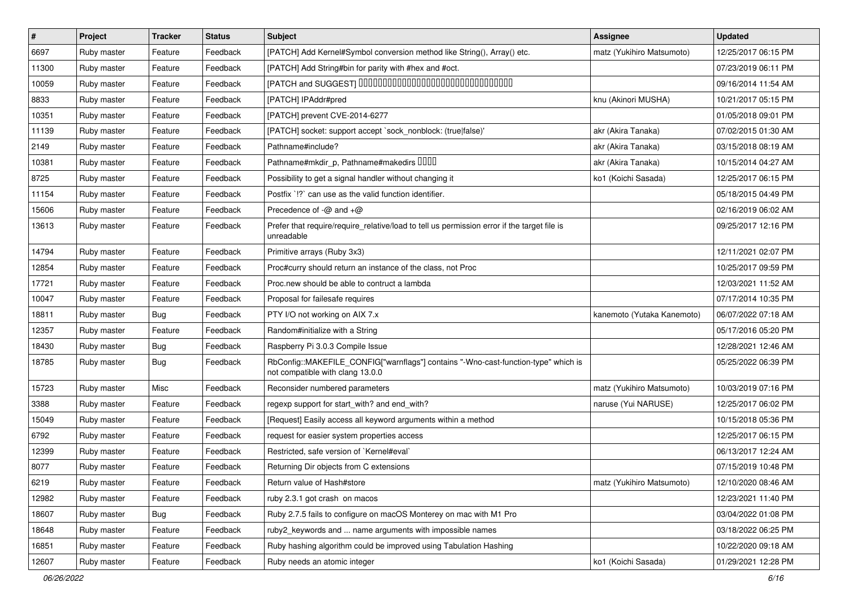| $\vert$ # | Project     | <b>Tracker</b> | <b>Status</b> | Subject                                                                                                                | <b>Assignee</b>            | <b>Updated</b>      |
|-----------|-------------|----------------|---------------|------------------------------------------------------------------------------------------------------------------------|----------------------------|---------------------|
| 6697      | Ruby master | Feature        | Feedback      | [PATCH] Add Kernel#Symbol conversion method like String(), Array() etc.                                                | matz (Yukihiro Matsumoto)  | 12/25/2017 06:15 PM |
| 11300     | Ruby master | Feature        | Feedback      | [PATCH] Add String#bin for parity with #hex and #oct.                                                                  |                            | 07/23/2019 06:11 PM |
| 10059     | Ruby master | Feature        | Feedback      | [PATCH and SUGGEST] 0000000000000000000000000000000                                                                    |                            | 09/16/2014 11:54 AM |
| 8833      | Ruby master | Feature        | Feedback      | [PATCH] IPAddr#pred                                                                                                    | knu (Akinori MUSHA)        | 10/21/2017 05:15 PM |
| 10351     | Ruby master | Feature        | Feedback      | [PATCH] prevent CVE-2014-6277                                                                                          |                            | 01/05/2018 09:01 PM |
| 11139     | Ruby master | Feature        | Feedback      | [PATCH] socket: support accept `sock_nonblock: (true false)'                                                           | akr (Akira Tanaka)         | 07/02/2015 01:30 AM |
| 2149      | Ruby master | Feature        | Feedback      | Pathname#include?                                                                                                      | akr (Akira Tanaka)         | 03/15/2018 08:19 AM |
| 10381     | Ruby master | Feature        | Feedback      | Pathname#mkdir_p, Pathname#makedirs DDDD                                                                               | akr (Akira Tanaka)         | 10/15/2014 04:27 AM |
| 8725      | Ruby master | Feature        | Feedback      | Possibility to get a signal handler without changing it                                                                | ko1 (Koichi Sasada)        | 12/25/2017 06:15 PM |
| 11154     | Ruby master | Feature        | Feedback      | Postfix '!?' can use as the valid function identifier.                                                                 |                            | 05/18/2015 04:49 PM |
| 15606     | Ruby master | Feature        | Feedback      | Precedence of $-\omega$ and $+\omega$                                                                                  |                            | 02/16/2019 06:02 AM |
| 13613     | Ruby master | Feature        | Feedback      | Prefer that require/require_relative/load to tell us permission error if the target file is<br>unreadable              |                            | 09/25/2017 12:16 PM |
| 14794     | Ruby master | Feature        | Feedback      | Primitive arrays (Ruby 3x3)                                                                                            |                            | 12/11/2021 02:07 PM |
| 12854     | Ruby master | Feature        | Feedback      | Proc#curry should return an instance of the class, not Proc                                                            |                            | 10/25/2017 09:59 PM |
| 17721     | Ruby master | Feature        | Feedback      | Proc.new should be able to contruct a lambda                                                                           |                            | 12/03/2021 11:52 AM |
| 10047     | Ruby master | Feature        | Feedback      | Proposal for failesafe requires                                                                                        |                            | 07/17/2014 10:35 PM |
| 18811     | Ruby master | Bug            | Feedback      | PTY I/O not working on AIX 7.x                                                                                         | kanemoto (Yutaka Kanemoto) | 06/07/2022 07:18 AM |
| 12357     | Ruby master | Feature        | Feedback      | Random#initialize with a String                                                                                        |                            | 05/17/2016 05:20 PM |
| 18430     | Ruby master | Bug            | Feedback      | Raspberry Pi 3.0.3 Compile Issue                                                                                       |                            | 12/28/2021 12:46 AM |
| 18785     | Ruby master | Bug            | Feedback      | RbConfig::MAKEFILE_CONFIG["warnflags"] contains "-Wno-cast-function-type" which is<br>not compatible with clang 13.0.0 |                            | 05/25/2022 06:39 PM |
| 15723     | Ruby master | Misc           | Feedback      | Reconsider numbered parameters                                                                                         | matz (Yukihiro Matsumoto)  | 10/03/2019 07:16 PM |
| 3388      | Ruby master | Feature        | Feedback      | regexp support for start_with? and end_with?                                                                           | naruse (Yui NARUSE)        | 12/25/2017 06:02 PM |
| 15049     | Ruby master | Feature        | Feedback      | [Request] Easily access all keyword arguments within a method                                                          |                            | 10/15/2018 05:36 PM |
| 6792      | Ruby master | Feature        | Feedback      | request for easier system properties access                                                                            |                            | 12/25/2017 06:15 PM |
| 12399     | Ruby master | Feature        | Feedback      | Restricted, safe version of `Kernel#eval`                                                                              |                            | 06/13/2017 12:24 AM |
| 8077      | Ruby master | Feature        | Feedback      | Returning Dir objects from C extensions                                                                                |                            | 07/15/2019 10:48 PM |
| 6219      | Ruby master | Feature        | Feedback      | Return value of Hash#store                                                                                             | matz (Yukihiro Matsumoto)  | 12/10/2020 08:46 AM |
| 12982     | Ruby master | Feature        | Feedback      | ruby 2.3.1 got crash on macos                                                                                          |                            | 12/23/2021 11:40 PM |
| 18607     | Ruby master | <b>Bug</b>     | Feedback      | Ruby 2.7.5 fails to configure on macOS Monterey on mac with M1 Pro                                                     |                            | 03/04/2022 01:08 PM |
| 18648     | Ruby master | Feature        | Feedback      | ruby2_keywords and  name arguments with impossible names                                                               |                            | 03/18/2022 06:25 PM |
| 16851     | Ruby master | Feature        | Feedback      | Ruby hashing algorithm could be improved using Tabulation Hashing                                                      |                            | 10/22/2020 09:18 AM |
| 12607     | Ruby master | Feature        | Feedback      | Ruby needs an atomic integer                                                                                           | ko1 (Koichi Sasada)        | 01/29/2021 12:28 PM |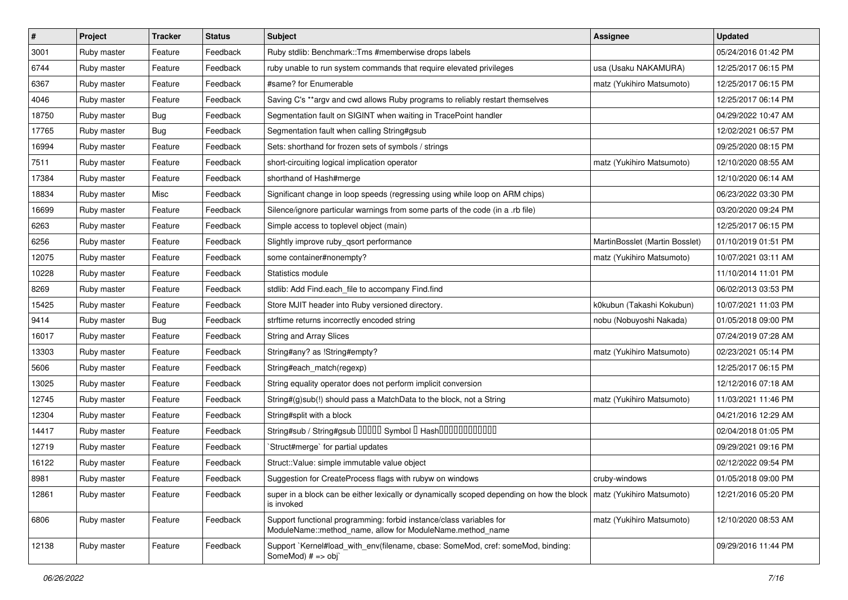| $\sharp$ | Project     | <b>Tracker</b> | <b>Status</b> | Subject                                                                                                                             | <b>Assignee</b>                | <b>Updated</b>      |
|----------|-------------|----------------|---------------|-------------------------------------------------------------------------------------------------------------------------------------|--------------------------------|---------------------|
| 3001     | Ruby master | Feature        | Feedback      | Ruby stdlib: Benchmark:: Tms #memberwise drops labels                                                                               |                                | 05/24/2016 01:42 PM |
| 6744     | Ruby master | Feature        | Feedback      | ruby unable to run system commands that require elevated privileges                                                                 | usa (Usaku NAKAMURA)           | 12/25/2017 06:15 PM |
| 6367     | Ruby master | Feature        | Feedback      | #same? for Enumerable                                                                                                               | matz (Yukihiro Matsumoto)      | 12/25/2017 06:15 PM |
| 4046     | Ruby master | Feature        | Feedback      | Saving C's ** argv and cwd allows Ruby programs to reliably restart themselves                                                      |                                | 12/25/2017 06:14 PM |
| 18750    | Ruby master | Bug            | Feedback      | Segmentation fault on SIGINT when waiting in TracePoint handler                                                                     |                                | 04/29/2022 10:47 AM |
| 17765    | Ruby master | Bug            | Feedback      | Segmentation fault when calling String#gsub                                                                                         |                                | 12/02/2021 06:57 PM |
| 16994    | Ruby master | Feature        | Feedback      | Sets: shorthand for frozen sets of symbols / strings                                                                                |                                | 09/25/2020 08:15 PM |
| 7511     | Ruby master | Feature        | Feedback      | short-circuiting logical implication operator                                                                                       | matz (Yukihiro Matsumoto)      | 12/10/2020 08:55 AM |
| 17384    | Ruby master | Feature        | Feedback      | shorthand of Hash#merge                                                                                                             |                                | 12/10/2020 06:14 AM |
| 18834    | Ruby master | Misc           | Feedback      | Significant change in loop speeds (regressing using while loop on ARM chips)                                                        |                                | 06/23/2022 03:30 PM |
| 16699    | Ruby master | Feature        | Feedback      | Silence/ignore particular warnings from some parts of the code (in a .rb file)                                                      |                                | 03/20/2020 09:24 PM |
| 6263     | Ruby master | Feature        | Feedback      | Simple access to toplevel object (main)                                                                                             |                                | 12/25/2017 06:15 PM |
| 6256     | Ruby master | Feature        | Feedback      | Slightly improve ruby_qsort performance                                                                                             | MartinBosslet (Martin Bosslet) | 01/10/2019 01:51 PM |
| 12075    | Ruby master | Feature        | Feedback      | some container#nonempty?                                                                                                            | matz (Yukihiro Matsumoto)      | 10/07/2021 03:11 AM |
| 10228    | Ruby master | Feature        | Feedback      | Statistics module                                                                                                                   |                                | 11/10/2014 11:01 PM |
| 8269     | Ruby master | Feature        | Feedback      | stdlib: Add Find.each_file to accompany Find.find                                                                                   |                                | 06/02/2013 03:53 PM |
| 15425    | Ruby master | Feature        | Feedback      | Store MJIT header into Ruby versioned directory.                                                                                    | k0kubun (Takashi Kokubun)      | 10/07/2021 11:03 PM |
| 9414     | Ruby master | Bug            | Feedback      | strftime returns incorrectly encoded string                                                                                         | nobu (Nobuyoshi Nakada)        | 01/05/2018 09:00 PM |
| 16017    | Ruby master | Feature        | Feedback      | String and Array Slices                                                                                                             |                                | 07/24/2019 07:28 AM |
| 13303    | Ruby master | Feature        | Feedback      | String#any? as !String#empty?                                                                                                       | matz (Yukihiro Matsumoto)      | 02/23/2021 05:14 PM |
| 5606     | Ruby master | Feature        | Feedback      | String#each_match(regexp)                                                                                                           |                                | 12/25/2017 06:15 PM |
| 13025    | Ruby master | Feature        | Feedback      | String equality operator does not perform implicit conversion                                                                       |                                | 12/12/2016 07:18 AM |
| 12745    | Ruby master | Feature        | Feedback      | String#(g)sub(!) should pass a MatchData to the block, not a String                                                                 | matz (Yukihiro Matsumoto)      | 11/03/2021 11:46 PM |
| 12304    | Ruby master | Feature        | Feedback      | String#split with a block                                                                                                           |                                | 04/21/2016 12:29 AM |
| 14417    | Ruby master | Feature        | Feedback      | String#sub / String#gsub 00000 Symbol 0 Hash000000000000                                                                            |                                | 02/04/2018 01:05 PM |
| 12719    | Ruby master | Feature        | Feedback      | `Struct#merge` for partial updates                                                                                                  |                                | 09/29/2021 09:16 PM |
| 16122    | Ruby master | Feature        | Feedback      | Struct::Value: simple immutable value object                                                                                        |                                | 02/12/2022 09:54 PM |
| 8981     | Ruby master | Feature        | Feedback      | Suggestion for CreateProcess flags with rubyw on windows                                                                            | cruby-windows                  | 01/05/2018 09:00 PM |
| 12861    | Ruby master | Feature        | Feedback      | super in a block can be either lexically or dynamically scoped depending on how the block   matz (Yukihiro Matsumoto)<br>is invoked |                                | 12/21/2016 05:20 PM |
| 6806     | Ruby master | Feature        | Feedback      | Support functional programming: forbid instance/class variables for<br>ModuleName::method_name, allow for ModuleName.method_name    | matz (Yukihiro Matsumoto)      | 12/10/2020 08:53 AM |
| 12138    | Ruby master | Feature        | Feedback      | Support `Kernel#load with env(filename, cbase: SomeMod, cref: someMod, binding:<br>SomeMod) # => obj`                               |                                | 09/29/2016 11:44 PM |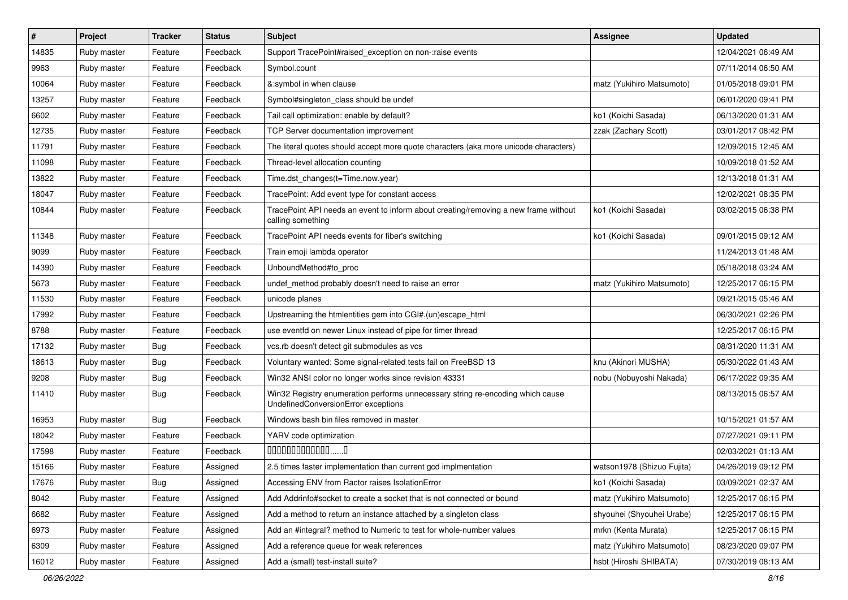| $\vert$ # | Project     | <b>Tracker</b> | <b>Status</b> | Subject                                                                                                               | <b>Assignee</b>            | <b>Updated</b>      |
|-----------|-------------|----------------|---------------|-----------------------------------------------------------------------------------------------------------------------|----------------------------|---------------------|
| 14835     | Ruby master | Feature        | Feedback      | Support TracePoint#raised exception on non-:raise events                                                              |                            | 12/04/2021 06:49 AM |
| 9963      | Ruby master | Feature        | Feedback      | Symbol.count                                                                                                          |                            | 07/11/2014 06:50 AM |
| 10064     | Ruby master | Feature        | Feedback      | &:symbol in when clause                                                                                               | matz (Yukihiro Matsumoto)  | 01/05/2018 09:01 PM |
| 13257     | Ruby master | Feature        | Feedback      | Symbol#singleton_class should be undef                                                                                |                            | 06/01/2020 09:41 PM |
| 6602      | Ruby master | Feature        | Feedback      | Tail call optimization: enable by default?                                                                            | ko1 (Koichi Sasada)        | 06/13/2020 01:31 AM |
| 12735     | Ruby master | Feature        | Feedback      | TCP Server documentation improvement                                                                                  | zzak (Zachary Scott)       | 03/01/2017 08:42 PM |
| 11791     | Ruby master | Feature        | Feedback      | The literal quotes should accept more quote characters (aka more unicode characters)                                  |                            | 12/09/2015 12:45 AM |
| 11098     | Ruby master | Feature        | Feedback      | Thread-level allocation counting                                                                                      |                            | 10/09/2018 01:52 AM |
| 13822     | Ruby master | Feature        | Feedback      | Time.dst_changes(t=Time.now.year)                                                                                     |                            | 12/13/2018 01:31 AM |
| 18047     | Ruby master | Feature        | Feedback      | TracePoint: Add event type for constant access                                                                        |                            | 12/02/2021 08:35 PM |
| 10844     | Ruby master | Feature        | Feedback      | TracePoint API needs an event to inform about creating/removing a new frame without<br>calling something              | ko1 (Koichi Sasada)        | 03/02/2015 06:38 PM |
| 11348     | Ruby master | Feature        | Feedback      | TracePoint API needs events for fiber's switching                                                                     | ko1 (Koichi Sasada)        | 09/01/2015 09:12 AM |
| 9099      | Ruby master | Feature        | Feedback      | Train emoji lambda operator                                                                                           |                            | 11/24/2013 01:48 AM |
| 14390     | Ruby master | Feature        | Feedback      | UnboundMethod#to_proc                                                                                                 |                            | 05/18/2018 03:24 AM |
| 5673      | Ruby master | Feature        | Feedback      | undef method probably doesn't need to raise an error                                                                  | matz (Yukihiro Matsumoto)  | 12/25/2017 06:15 PM |
| 11530     | Ruby master | Feature        | Feedback      | unicode planes                                                                                                        |                            | 09/21/2015 05:46 AM |
| 17992     | Ruby master | Feature        | Feedback      | Upstreaming the htmlentities gem into CGI#.(un)escape_html                                                            |                            | 06/30/2021 02:26 PM |
| 8788      | Ruby master | Feature        | Feedback      | use eventfd on newer Linux instead of pipe for timer thread                                                           |                            | 12/25/2017 06:15 PM |
| 17132     | Ruby master | Bug            | Feedback      | vcs.rb doesn't detect git submodules as vcs                                                                           |                            | 08/31/2020 11:31 AM |
| 18613     | Ruby master | <b>Bug</b>     | Feedback      | Voluntary wanted: Some signal-related tests fail on FreeBSD 13                                                        | knu (Akinori MUSHA)        | 05/30/2022 01:43 AM |
| 9208      | Ruby master | Bug            | Feedback      | Win32 ANSI color no longer works since revision 43331                                                                 | nobu (Nobuyoshi Nakada)    | 06/17/2022 09:35 AM |
| 11410     | Ruby master | Bug            | Feedback      | Win32 Registry enumeration performs unnecessary string re-encoding which cause<br>UndefinedConversionError exceptions |                            | 08/13/2015 06:57 AM |
| 16953     | Ruby master | Bug            | Feedback      | Windows bash bin files removed in master                                                                              |                            | 10/15/2021 01:57 AM |
| 18042     | Ruby master | Feature        | Feedback      | YARV code optimization                                                                                                |                            | 07/27/2021 09:11 PM |
| 17598     | Ruby master | Feature        | Feedback      | $0000000000000010$                                                                                                    |                            | 02/03/2021 01:13 AM |
| 15166     | Ruby master | Feature        | Assigned      | 2.5 times faster implementation than current gcd implmentation                                                        | watson1978 (Shizuo Fujita) | 04/26/2019 09:12 PM |
| 17676     | Ruby master | Bug            | Assigned      | Accessing ENV from Ractor raises IsolationError                                                                       | ko1 (Koichi Sasada)        | 03/09/2021 02:37 AM |
| 8042      | Ruby master | Feature        | Assigned      | Add Addrinfo#socket to create a socket that is not connected or bound                                                 | matz (Yukihiro Matsumoto)  | 12/25/2017 06:15 PM |
| 6682      | Ruby master | Feature        | Assigned      | Add a method to return an instance attached by a singleton class                                                      | shyouhei (Shyouhei Urabe)  | 12/25/2017 06:15 PM |
| 6973      | Ruby master | Feature        | Assigned      | Add an #integral? method to Numeric to test for whole-number values                                                   | mrkn (Kenta Murata)        | 12/25/2017 06:15 PM |
| 6309      | Ruby master | Feature        | Assigned      | Add a reference queue for weak references                                                                             | matz (Yukihiro Matsumoto)  | 08/23/2020 09:07 PM |
| 16012     | Ruby master | Feature        | Assigned      | Add a (small) test-install suite?                                                                                     | hsbt (Hiroshi SHIBATA)     | 07/30/2019 08:13 AM |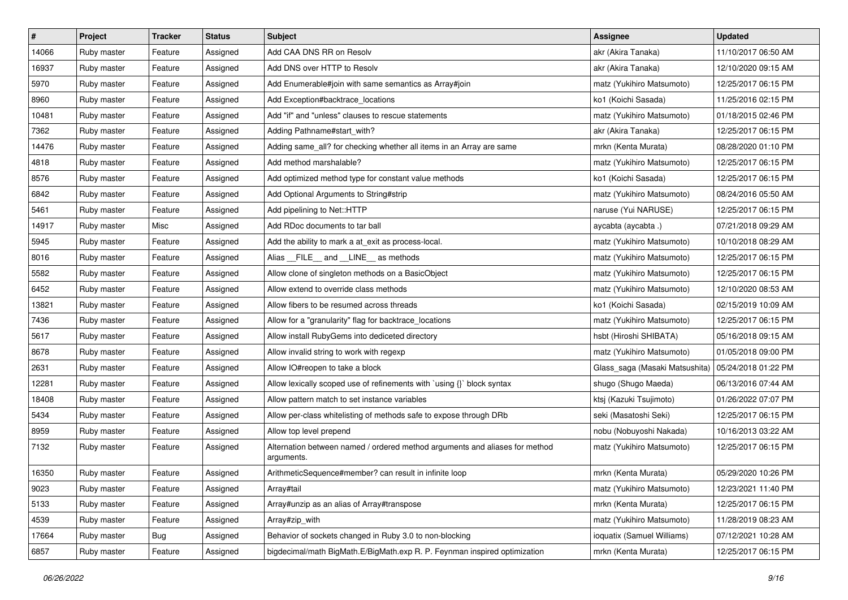| $\vert$ # | Project     | <b>Tracker</b> | <b>Status</b> | Subject                                                                                   | <b>Assignee</b>                | <b>Updated</b>      |
|-----------|-------------|----------------|---------------|-------------------------------------------------------------------------------------------|--------------------------------|---------------------|
| 14066     | Ruby master | Feature        | Assigned      | Add CAA DNS RR on Resolv                                                                  | akr (Akira Tanaka)             | 11/10/2017 06:50 AM |
| 16937     | Ruby master | Feature        | Assigned      | Add DNS over HTTP to Resolv                                                               | akr (Akira Tanaka)             | 12/10/2020 09:15 AM |
| 5970      | Ruby master | Feature        | Assigned      | Add Enumerable#join with same semantics as Array#join                                     | matz (Yukihiro Matsumoto)      | 12/25/2017 06:15 PM |
| 8960      | Ruby master | Feature        | Assigned      | Add Exception#backtrace_locations                                                         | ko1 (Koichi Sasada)            | 11/25/2016 02:15 PM |
| 10481     | Ruby master | Feature        | Assigned      | Add "if" and "unless" clauses to rescue statements                                        | matz (Yukihiro Matsumoto)      | 01/18/2015 02:46 PM |
| 7362      | Ruby master | Feature        | Assigned      | Adding Pathname#start with?                                                               | akr (Akira Tanaka)             | 12/25/2017 06:15 PM |
| 14476     | Ruby master | Feature        | Assigned      | Adding same_all? for checking whether all items in an Array are same                      | mrkn (Kenta Murata)            | 08/28/2020 01:10 PM |
| 4818      | Ruby master | Feature        | Assigned      | Add method marshalable?                                                                   | matz (Yukihiro Matsumoto)      | 12/25/2017 06:15 PM |
| 8576      | Ruby master | Feature        | Assigned      | Add optimized method type for constant value methods                                      | ko1 (Koichi Sasada)            | 12/25/2017 06:15 PM |
| 6842      | Ruby master | Feature        | Assigned      | Add Optional Arguments to String#strip                                                    | matz (Yukihiro Matsumoto)      | 08/24/2016 05:50 AM |
| 5461      | Ruby master | Feature        | Assigned      | Add pipelining to Net::HTTP                                                               | naruse (Yui NARUSE)            | 12/25/2017 06:15 PM |
| 14917     | Ruby master | Misc           | Assigned      | Add RDoc documents to tar ball                                                            | aycabta (aycabta.)             | 07/21/2018 09:29 AM |
| 5945      | Ruby master | Feature        | Assigned      | Add the ability to mark a at_exit as process-local.                                       | matz (Yukihiro Matsumoto)      | 10/10/2018 08:29 AM |
| 8016      | Ruby master | Feature        | Assigned      | Alias __FILE__ and __LINE__ as methods                                                    | matz (Yukihiro Matsumoto)      | 12/25/2017 06:15 PM |
| 5582      | Ruby master | Feature        | Assigned      | Allow clone of singleton methods on a BasicObject                                         | matz (Yukihiro Matsumoto)      | 12/25/2017 06:15 PM |
| 6452      | Ruby master | Feature        | Assigned      | Allow extend to override class methods                                                    | matz (Yukihiro Matsumoto)      | 12/10/2020 08:53 AM |
| 13821     | Ruby master | Feature        | Assigned      | Allow fibers to be resumed across threads                                                 | ko1 (Koichi Sasada)            | 02/15/2019 10:09 AM |
| 7436      | Ruby master | Feature        | Assigned      | Allow for a "granularity" flag for backtrace_locations                                    | matz (Yukihiro Matsumoto)      | 12/25/2017 06:15 PM |
| 5617      | Ruby master | Feature        | Assigned      | Allow install RubyGems into dediceted directory                                           | hsbt (Hiroshi SHIBATA)         | 05/16/2018 09:15 AM |
| 8678      | Ruby master | Feature        | Assigned      | Allow invalid string to work with regexp                                                  | matz (Yukihiro Matsumoto)      | 01/05/2018 09:00 PM |
| 2631      | Ruby master | Feature        | Assigned      | Allow IO#reopen to take a block                                                           | Glass_saga (Masaki Matsushita) | 05/24/2018 01:22 PM |
| 12281     | Ruby master | Feature        | Assigned      | Allow lexically scoped use of refinements with `using {}` block syntax                    | shugo (Shugo Maeda)            | 06/13/2016 07:44 AM |
| 18408     | Ruby master | Feature        | Assigned      | Allow pattern match to set instance variables                                             | ktsj (Kazuki Tsujimoto)        | 01/26/2022 07:07 PM |
| 5434      | Ruby master | Feature        | Assigned      | Allow per-class whitelisting of methods safe to expose through DRb                        | seki (Masatoshi Seki)          | 12/25/2017 06:15 PM |
| 8959      | Ruby master | Feature        | Assigned      | Allow top level prepend                                                                   | nobu (Nobuyoshi Nakada)        | 10/16/2013 03:22 AM |
| 7132      | Ruby master | Feature        | Assigned      | Alternation between named / ordered method arguments and aliases for method<br>arguments. | matz (Yukihiro Matsumoto)      | 12/25/2017 06:15 PM |
| 16350     | Ruby master | Feature        | Assigned      | ArithmeticSequence#member? can result in infinite loop                                    | mrkn (Kenta Murata)            | 05/29/2020 10:26 PM |
| 9023      | Ruby master | Feature        | Assigned      | Array#tail                                                                                | matz (Yukihiro Matsumoto)      | 12/23/2021 11:40 PM |
| 5133      | Ruby master | Feature        | Assigned      | Array#unzip as an alias of Array#transpose                                                | mrkn (Kenta Murata)            | 12/25/2017 06:15 PM |
| 4539      | Ruby master | Feature        | Assigned      | Array#zip_with                                                                            | matz (Yukihiro Matsumoto)      | 11/28/2019 08:23 AM |
| 17664     | Ruby master | <b>Bug</b>     | Assigned      | Behavior of sockets changed in Ruby 3.0 to non-blocking                                   | ioquatix (Samuel Williams)     | 07/12/2021 10:28 AM |
| 6857      | Ruby master | Feature        | Assigned      | bigdecimal/math BigMath.E/BigMath.exp R. P. Feynman inspired optimization                 | mrkn (Kenta Murata)            | 12/25/2017 06:15 PM |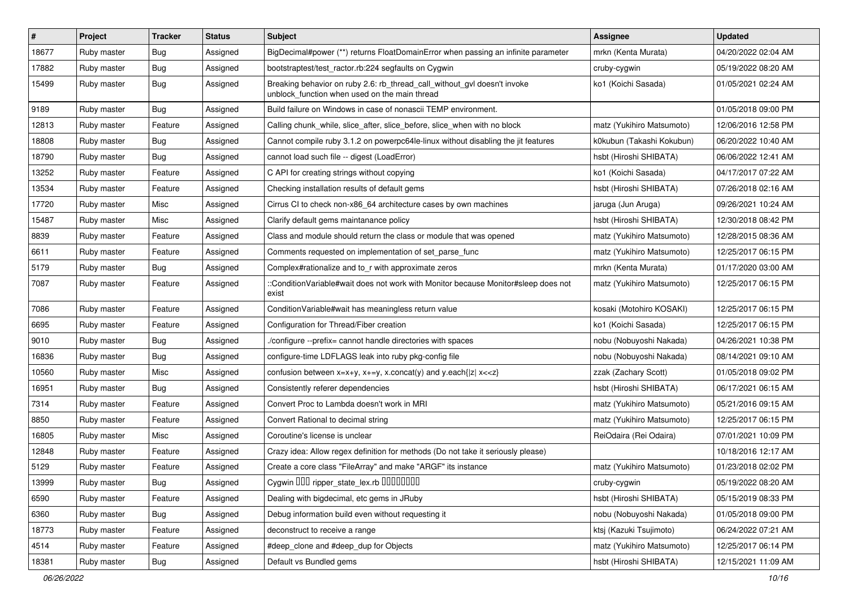| $\vert$ # | Project     | <b>Tracker</b> | <b>Status</b> | <b>Subject</b>                                                                                                            | <b>Assignee</b>           | <b>Updated</b>      |
|-----------|-------------|----------------|---------------|---------------------------------------------------------------------------------------------------------------------------|---------------------------|---------------------|
| 18677     | Ruby master | Bug            | Assigned      | BigDecimal#power (**) returns FloatDomainError when passing an infinite parameter                                         | mrkn (Kenta Murata)       | 04/20/2022 02:04 AM |
| 17882     | Ruby master | <b>Bug</b>     | Assigned      | bootstraptest/test_ractor.rb:224 segfaults on Cygwin                                                                      | cruby-cygwin              | 05/19/2022 08:20 AM |
| 15499     | Ruby master | Bug            | Assigned      | Breaking behavior on ruby 2.6: rb_thread_call_without_gvl doesn't invoke<br>unblock_function when used on the main thread | ko1 (Koichi Sasada)       | 01/05/2021 02:24 AM |
| 9189      | Ruby master | Bug            | Assigned      | Build failure on Windows in case of nonascii TEMP environment.                                                            |                           | 01/05/2018 09:00 PM |
| 12813     | Ruby master | Feature        | Assigned      | Calling chunk_while, slice_after, slice_before, slice_when with no block                                                  | matz (Yukihiro Matsumoto) | 12/06/2016 12:58 PM |
| 18808     | Ruby master | Bug            | Assigned      | Cannot compile ruby 3.1.2 on powerpc64le-linux without disabling the jit features                                         | k0kubun (Takashi Kokubun) | 06/20/2022 10:40 AM |
| 18790     | Ruby master | Bug            | Assigned      | cannot load such file -- digest (LoadError)                                                                               | hsbt (Hiroshi SHIBATA)    | 06/06/2022 12:41 AM |
| 13252     | Ruby master | Feature        | Assigned      | C API for creating strings without copying                                                                                | ko1 (Koichi Sasada)       | 04/17/2017 07:22 AM |
| 13534     | Ruby master | Feature        | Assigned      | Checking installation results of default gems                                                                             | hsbt (Hiroshi SHIBATA)    | 07/26/2018 02:16 AM |
| 17720     | Ruby master | Misc           | Assigned      | Cirrus CI to check non-x86 64 architecture cases by own machines                                                          | jaruga (Jun Aruga)        | 09/26/2021 10:24 AM |
| 15487     | Ruby master | Misc           | Assigned      | Clarify default gems maintanance policy                                                                                   | hsbt (Hiroshi SHIBATA)    | 12/30/2018 08:42 PM |
| 8839      | Ruby master | Feature        | Assigned      | Class and module should return the class or module that was opened                                                        | matz (Yukihiro Matsumoto) | 12/28/2015 08:36 AM |
| 6611      | Ruby master | Feature        | Assigned      | Comments requested on implementation of set parse func                                                                    | matz (Yukihiro Matsumoto) | 12/25/2017 06:15 PM |
| 5179      | Ruby master | <b>Bug</b>     | Assigned      | Complex#rationalize and to_r with approximate zeros                                                                       | mrkn (Kenta Murata)       | 01/17/2020 03:00 AM |
| 7087      | Ruby master | Feature        | Assigned      | ::ConditionVariable#wait does not work with Monitor because Monitor#sleep does not<br>exist                               | matz (Yukihiro Matsumoto) | 12/25/2017 06:15 PM |
| 7086      | Ruby master | Feature        | Assigned      | ConditionVariable#wait has meaningless return value                                                                       | kosaki (Motohiro KOSAKI)  | 12/25/2017 06:15 PM |
| 6695      | Ruby master | Feature        | Assigned      | Configuration for Thread/Fiber creation                                                                                   | ko1 (Koichi Sasada)       | 12/25/2017 06:15 PM |
| 9010      | Ruby master | <b>Bug</b>     | Assigned      | /configure --prefix= cannot handle directories with spaces                                                                | nobu (Nobuyoshi Nakada)   | 04/26/2021 10:38 PM |
| 16836     | Ruby master | <b>Bug</b>     | Assigned      | configure-time LDFLAGS leak into ruby pkg-config file                                                                     | nobu (Nobuyoshi Nakada)   | 08/14/2021 09:10 AM |
| 10560     | Ruby master | Misc           | Assigned      | confusion between $x=x+y$ , $x+=y$ , x.concat(y) and y.each{ z  $x<}$                                                     | zzak (Zachary Scott)      | 01/05/2018 09:02 PM |
| 16951     | Ruby master | Bug            | Assigned      | Consistently referer dependencies                                                                                         | hsbt (Hiroshi SHIBATA)    | 06/17/2021 06:15 AM |
| 7314      | Ruby master | Feature        | Assigned      | Convert Proc to Lambda doesn't work in MRI                                                                                | matz (Yukihiro Matsumoto) | 05/21/2016 09:15 AM |
| 8850      | Ruby master | Feature        | Assigned      | Convert Rational to decimal string                                                                                        | matz (Yukihiro Matsumoto) | 12/25/2017 06:15 PM |
| 16805     | Ruby master | Misc           | Assigned      | Coroutine's license is unclear                                                                                            | ReiOdaira (Rei Odaira)    | 07/01/2021 10:09 PM |
| 12848     | Ruby master | Feature        | Assigned      | Crazy idea: Allow regex definition for methods (Do not take it seriously please)                                          |                           | 10/18/2016 12:17 AM |
| 5129      | Ruby master | Feature        | Assigned      | Create a core class "FileArray" and make "ARGF" its instance                                                              | matz (Yukihiro Matsumoto) | 01/23/2018 02:02 PM |
| 13999     | Ruby master | Bug            | Assigned      | Cygwin 000 ripper_state_lex.rb 00000000                                                                                   | cruby-cygwin              | 05/19/2022 08:20 AM |
| 6590      | Ruby master | Feature        | Assigned      | Dealing with bigdecimal, etc gems in JRuby                                                                                | hsbt (Hiroshi SHIBATA)    | 05/15/2019 08:33 PM |
| 6360      | Ruby master | <b>Bug</b>     | Assigned      | Debug information build even without requesting it                                                                        | nobu (Nobuyoshi Nakada)   | 01/05/2018 09:00 PM |
| 18773     | Ruby master | Feature        | Assigned      | deconstruct to receive a range                                                                                            | ktsj (Kazuki Tsujimoto)   | 06/24/2022 07:21 AM |
| 4514      | Ruby master | Feature        | Assigned      | #deep_clone and #deep_dup for Objects                                                                                     | matz (Yukihiro Matsumoto) | 12/25/2017 06:14 PM |
| 18381     | Ruby master | Bug            | Assigned      | Default vs Bundled gems                                                                                                   | hsbt (Hiroshi SHIBATA)    | 12/15/2021 11:09 AM |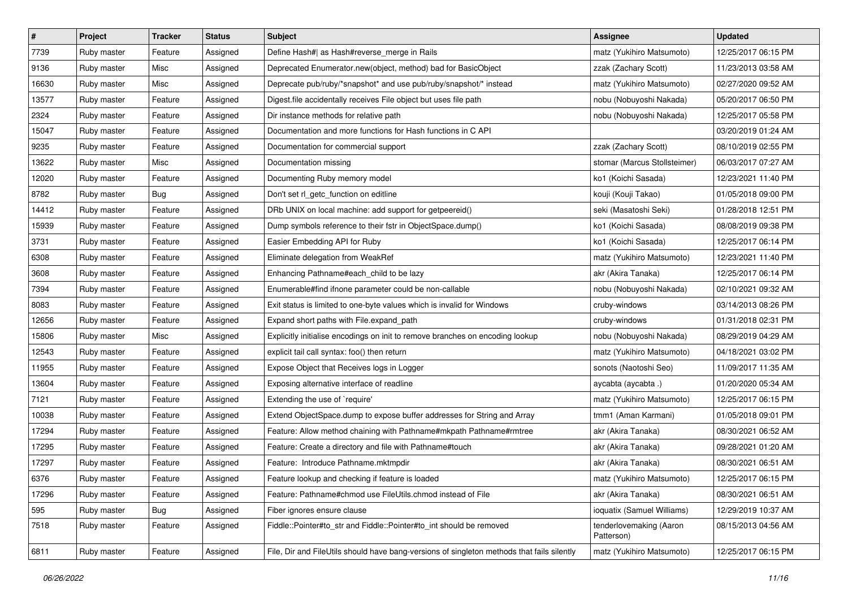| $\sharp$ | Project     | <b>Tracker</b> | <b>Status</b> | Subject                                                                                    | <b>Assignee</b>                       | <b>Updated</b>      |
|----------|-------------|----------------|---------------|--------------------------------------------------------------------------------------------|---------------------------------------|---------------------|
| 7739     | Ruby master | Feature        | Assigned      | Define Hash#  as Hash#reverse_merge in Rails                                               | matz (Yukihiro Matsumoto)             | 12/25/2017 06:15 PM |
| 9136     | Ruby master | Misc           | Assigned      | Deprecated Enumerator.new(object, method) bad for BasicObject                              | zzak (Zachary Scott)                  | 11/23/2013 03:58 AM |
| 16630    | Ruby master | Misc           | Assigned      | Deprecate pub/ruby/*snapshot* and use pub/ruby/snapshot/* instead                          | matz (Yukihiro Matsumoto)             | 02/27/2020 09:52 AM |
| 13577    | Ruby master | Feature        | Assigned      | Digest file accidentally receives File object but uses file path                           | nobu (Nobuyoshi Nakada)               | 05/20/2017 06:50 PM |
| 2324     | Ruby master | Feature        | Assigned      | Dir instance methods for relative path                                                     | nobu (Nobuyoshi Nakada)               | 12/25/2017 05:58 PM |
| 15047    | Ruby master | Feature        | Assigned      | Documentation and more functions for Hash functions in C API                               |                                       | 03/20/2019 01:24 AM |
| 9235     | Ruby master | Feature        | Assigned      | Documentation for commercial support                                                       | zzak (Zachary Scott)                  | 08/10/2019 02:55 PM |
| 13622    | Ruby master | Misc           | Assigned      | Documentation missing                                                                      | stomar (Marcus Stollsteimer)          | 06/03/2017 07:27 AM |
| 12020    | Ruby master | Feature        | Assigned      | Documenting Ruby memory model                                                              | ko1 (Koichi Sasada)                   | 12/23/2021 11:40 PM |
| 8782     | Ruby master | Bug            | Assigned      | Don't set rl_getc_function on editline                                                     | kouji (Kouji Takao)                   | 01/05/2018 09:00 PM |
| 14412    | Ruby master | Feature        | Assigned      | DRb UNIX on local machine: add support for getpeereid()                                    | seki (Masatoshi Seki)                 | 01/28/2018 12:51 PM |
| 15939    | Ruby master | Feature        | Assigned      | Dump symbols reference to their fstr in ObjectSpace.dump()                                 | ko1 (Koichi Sasada)                   | 08/08/2019 09:38 PM |
| 3731     | Ruby master | Feature        | Assigned      | Easier Embedding API for Ruby                                                              | ko1 (Koichi Sasada)                   | 12/25/2017 06:14 PM |
| 6308     | Ruby master | Feature        | Assigned      | Eliminate delegation from WeakRef                                                          | matz (Yukihiro Matsumoto)             | 12/23/2021 11:40 PM |
| 3608     | Ruby master | Feature        | Assigned      | Enhancing Pathname#each_child to be lazy                                                   | akr (Akira Tanaka)                    | 12/25/2017 06:14 PM |
| 7394     | Ruby master | Feature        | Assigned      | Enumerable#find ifnone parameter could be non-callable                                     | nobu (Nobuyoshi Nakada)               | 02/10/2021 09:32 AM |
| 8083     | Ruby master | Feature        | Assigned      | Exit status is limited to one-byte values which is invalid for Windows                     | cruby-windows                         | 03/14/2013 08:26 PM |
| 12656    | Ruby master | Feature        | Assigned      | Expand short paths with File.expand_path                                                   | cruby-windows                         | 01/31/2018 02:31 PM |
| 15806    | Ruby master | Misc           | Assigned      | Explicitly initialise encodings on init to remove branches on encoding lookup              | nobu (Nobuyoshi Nakada)               | 08/29/2019 04:29 AM |
| 12543    | Ruby master | Feature        | Assigned      | explicit tail call syntax: foo() then return                                               | matz (Yukihiro Matsumoto)             | 04/18/2021 03:02 PM |
| 11955    | Ruby master | Feature        | Assigned      | Expose Object that Receives logs in Logger                                                 | sonots (Naotoshi Seo)                 | 11/09/2017 11:35 AM |
| 13604    | Ruby master | Feature        | Assigned      | Exposing alternative interface of readline                                                 | aycabta (aycabta.)                    | 01/20/2020 05:34 AM |
| 7121     | Ruby master | Feature        | Assigned      | Extending the use of `require'                                                             | matz (Yukihiro Matsumoto)             | 12/25/2017 06:15 PM |
| 10038    | Ruby master | Feature        | Assigned      | Extend ObjectSpace.dump to expose buffer addresses for String and Array                    | tmm1 (Aman Karmani)                   | 01/05/2018 09:01 PM |
| 17294    | Ruby master | Feature        | Assigned      | Feature: Allow method chaining with Pathname#mkpath Pathname#rmtree                        | akr (Akira Tanaka)                    | 08/30/2021 06:52 AM |
| 17295    | Ruby master | Feature        | Assigned      | Feature: Create a directory and file with Pathname#touch                                   | akr (Akira Tanaka)                    | 09/28/2021 01:20 AM |
| 17297    | Ruby master | Feature        | Assigned      | Feature: Introduce Pathname.mktmpdir                                                       | akr (Akira Tanaka)                    | 08/30/2021 06:51 AM |
| 6376     | Ruby master | Feature        | Assigned      | Feature lookup and checking if feature is loaded                                           | matz (Yukihiro Matsumoto)             | 12/25/2017 06:15 PM |
| 17296    | Ruby master | Feature        | Assigned      | Feature: Pathname#chmod use FileUtils.chmod instead of File                                | akr (Akira Tanaka)                    | 08/30/2021 06:51 AM |
| 595      | Ruby master | <b>Bug</b>     | Assigned      | Fiber ignores ensure clause                                                                | ioquatix (Samuel Williams)            | 12/29/2019 10:37 AM |
| 7518     | Ruby master | Feature        | Assigned      | Fiddle::Pointer#to_str and Fiddle::Pointer#to_int should be removed                        | tenderlovemaking (Aaron<br>Patterson) | 08/15/2013 04:56 AM |
| 6811     | Ruby master | Feature        | Assigned      | File, Dir and FileUtils should have bang-versions of singleton methods that fails silently | matz (Yukihiro Matsumoto)             | 12/25/2017 06:15 PM |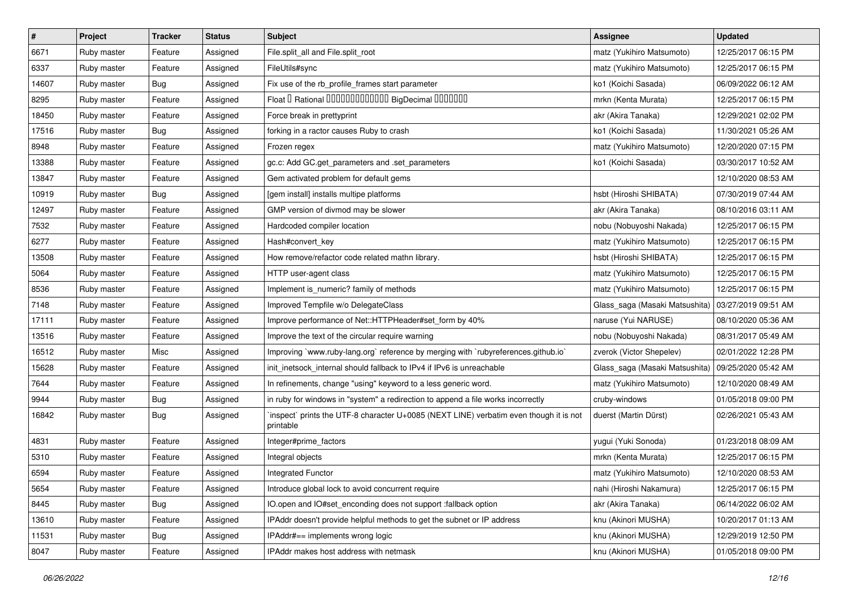| $\vert$ # | Project     | <b>Tracker</b> | <b>Status</b> | Subject                                                                                             | <b>Assignee</b>                | <b>Updated</b>      |
|-----------|-------------|----------------|---------------|-----------------------------------------------------------------------------------------------------|--------------------------------|---------------------|
| 6671      | Ruby master | Feature        | Assigned      | File.split_all and File.split_root                                                                  | matz (Yukihiro Matsumoto)      | 12/25/2017 06:15 PM |
| 6337      | Ruby master | Feature        | Assigned      | FileUtils#sync                                                                                      | matz (Yukihiro Matsumoto)      | 12/25/2017 06:15 PM |
| 14607     | Ruby master | Bug            | Assigned      | Fix use of the rb_profile_frames start parameter                                                    | ko1 (Koichi Sasada)            | 06/09/2022 06:12 AM |
| 8295      | Ruby master | Feature        | Assigned      | Float I Rational 0000000000000 BigDecimal 0000000                                                   | mrkn (Kenta Murata)            | 12/25/2017 06:15 PM |
| 18450     | Ruby master | Feature        | Assigned      | Force break in prettyprint                                                                          | akr (Akira Tanaka)             | 12/29/2021 02:02 PM |
| 17516     | Ruby master | Bug            | Assigned      | forking in a ractor causes Ruby to crash                                                            | ko1 (Koichi Sasada)            | 11/30/2021 05:26 AM |
| 8948      | Ruby master | Feature        | Assigned      | Frozen regex                                                                                        | matz (Yukihiro Matsumoto)      | 12/20/2020 07:15 PM |
| 13388     | Ruby master | Feature        | Assigned      | gc.c: Add GC.get_parameters and .set_parameters                                                     | ko1 (Koichi Sasada)            | 03/30/2017 10:52 AM |
| 13847     | Ruby master | Feature        | Assigned      | Gem activated problem for default gems                                                              |                                | 12/10/2020 08:53 AM |
| 10919     | Ruby master | Bug            | Assigned      | [gem install] installs multipe platforms                                                            | hsbt (Hiroshi SHIBATA)         | 07/30/2019 07:44 AM |
| 12497     | Ruby master | Feature        | Assigned      | GMP version of divmod may be slower                                                                 | akr (Akira Tanaka)             | 08/10/2016 03:11 AM |
| 7532      | Ruby master | Feature        | Assigned      | Hardcoded compiler location                                                                         | nobu (Nobuyoshi Nakada)        | 12/25/2017 06:15 PM |
| 6277      | Ruby master | Feature        | Assigned      | Hash#convert_key                                                                                    | matz (Yukihiro Matsumoto)      | 12/25/2017 06:15 PM |
| 13508     | Ruby master | Feature        | Assigned      | How remove/refactor code related mathn library.                                                     | hsbt (Hiroshi SHIBATA)         | 12/25/2017 06:15 PM |
| 5064      | Ruby master | Feature        | Assigned      | HTTP user-agent class                                                                               | matz (Yukihiro Matsumoto)      | 12/25/2017 06:15 PM |
| 8536      | Ruby master | Feature        | Assigned      | Implement is_numeric? family of methods                                                             | matz (Yukihiro Matsumoto)      | 12/25/2017 06:15 PM |
| 7148      | Ruby master | Feature        | Assigned      | Improved Tempfile w/o DelegateClass                                                                 | Glass_saga (Masaki Matsushita) | 03/27/2019 09:51 AM |
| 17111     | Ruby master | Feature        | Assigned      | Improve performance of Net::HTTPHeader#set_form by 40%                                              | naruse (Yui NARUSE)            | 08/10/2020 05:36 AM |
| 13516     | Ruby master | Feature        | Assigned      | Improve the text of the circular require warning                                                    | nobu (Nobuyoshi Nakada)        | 08/31/2017 05:49 AM |
| 16512     | Ruby master | Misc           | Assigned      | Improving `www.ruby-lang.org` reference by merging with `rubyreferences.github.io`                  | zverok (Victor Shepelev)       | 02/01/2022 12:28 PM |
| 15628     | Ruby master | Feature        | Assigned      | init_inetsock_internal should fallback to IPv4 if IPv6 is unreachable                               | Glass_saga (Masaki Matsushita) | 09/25/2020 05:42 AM |
| 7644      | Ruby master | Feature        | Assigned      | In refinements, change "using" keyword to a less generic word.                                      | matz (Yukihiro Matsumoto)      | 12/10/2020 08:49 AM |
| 9944      | Ruby master | Bug            | Assigned      | in ruby for windows in "system" a redirection to append a file works incorrectly                    | cruby-windows                  | 01/05/2018 09:00 PM |
| 16842     | Ruby master | Bug            | Assigned      | 'inspect' prints the UTF-8 character U+0085 (NEXT LINE) verbatim even though it is not<br>printable | duerst (Martin Dürst)          | 02/26/2021 05:43 AM |
| 4831      | Ruby master | Feature        | Assigned      | Integer#prime_factors                                                                               | yugui (Yuki Sonoda)            | 01/23/2018 08:09 AM |
| 5310      | Ruby master | Feature        | Assigned      | Integral objects                                                                                    | mrkn (Kenta Murata)            | 12/25/2017 06:15 PM |
| 6594      | Ruby master | Feature        | Assigned      | Integrated Functor                                                                                  | matz (Yukihiro Matsumoto)      | 12/10/2020 08:53 AM |
| 5654      | Ruby master | Feature        | Assigned      | Introduce global lock to avoid concurrent require                                                   | nahi (Hiroshi Nakamura)        | 12/25/2017 06:15 PM |
| 8445      | Ruby master | <b>Bug</b>     | Assigned      | IO.open and IO#set enconding does not support :fallback option                                      | akr (Akira Tanaka)             | 06/14/2022 06:02 AM |
| 13610     | Ruby master | Feature        | Assigned      | IPAddr doesn't provide helpful methods to get the subnet or IP address                              | knu (Akinori MUSHA)            | 10/20/2017 01:13 AM |
| 11531     | Ruby master | <b>Bug</b>     | Assigned      | IPAddr#== implements wrong logic                                                                    | knu (Akinori MUSHA)            | 12/29/2019 12:50 PM |
| 8047      | Ruby master | Feature        | Assigned      | IPAddr makes host address with netmask                                                              | knu (Akinori MUSHA)            | 01/05/2018 09:00 PM |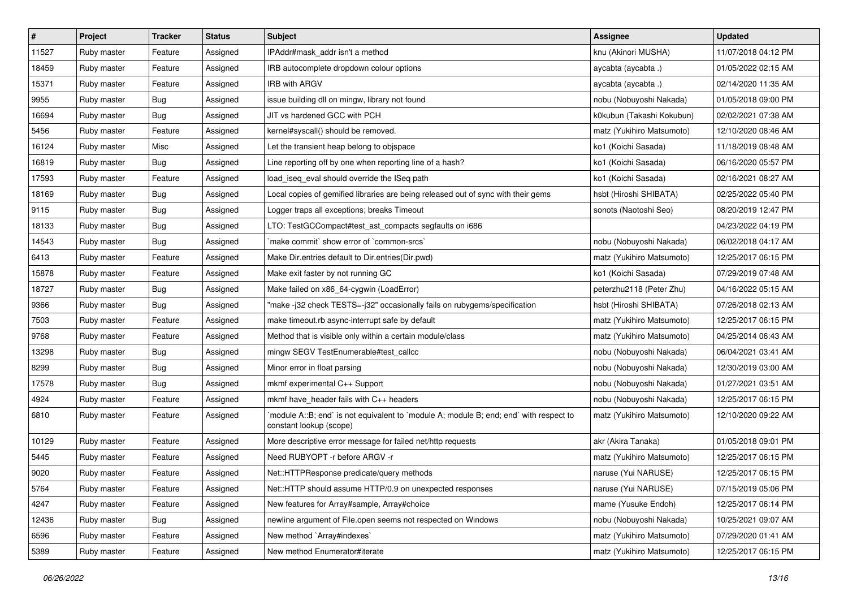| #     | Project     | <b>Tracker</b> | <b>Status</b> | <b>Subject</b>                                                                                                   | <b>Assignee</b>           | <b>Updated</b>      |
|-------|-------------|----------------|---------------|------------------------------------------------------------------------------------------------------------------|---------------------------|---------------------|
| 11527 | Ruby master | Feature        | Assigned      | IPAddr#mask addr isn't a method                                                                                  | knu (Akinori MUSHA)       | 11/07/2018 04:12 PM |
| 18459 | Ruby master | Feature        | Assigned      | IRB autocomplete dropdown colour options                                                                         | aycabta (aycabta.)        | 01/05/2022 02:15 AM |
| 15371 | Ruby master | Feature        | Assigned      | <b>IRB with ARGV</b>                                                                                             | aycabta (aycabta.)        | 02/14/2020 11:35 AM |
| 9955  | Ruby master | Bug            | Assigned      | issue building dll on mingw, library not found                                                                   | nobu (Nobuyoshi Nakada)   | 01/05/2018 09:00 PM |
| 16694 | Ruby master | Bug            | Assigned      | JIT vs hardened GCC with PCH                                                                                     | k0kubun (Takashi Kokubun) | 02/02/2021 07:38 AM |
| 5456  | Ruby master | Feature        | Assigned      | kernel#syscall() should be removed.                                                                              | matz (Yukihiro Matsumoto) | 12/10/2020 08:46 AM |
| 16124 | Ruby master | Misc           | Assigned      | Let the transient heap belong to objspace                                                                        | ko1 (Koichi Sasada)       | 11/18/2019 08:48 AM |
| 16819 | Ruby master | <b>Bug</b>     | Assigned      | Line reporting off by one when reporting line of a hash?                                                         | ko1 (Koichi Sasada)       | 06/16/2020 05:57 PM |
| 17593 | Ruby master | Feature        | Assigned      | load_iseq_eval should override the ISeq path                                                                     | ko1 (Koichi Sasada)       | 02/16/2021 08:27 AM |
| 18169 | Ruby master | Bug            | Assigned      | Local copies of gemified libraries are being released out of sync with their gems                                | hsbt (Hiroshi SHIBATA)    | 02/25/2022 05:40 PM |
| 9115  | Ruby master | <b>Bug</b>     | Assigned      | Logger traps all exceptions; breaks Timeout                                                                      | sonots (Naotoshi Seo)     | 08/20/2019 12:47 PM |
| 18133 | Ruby master | Bug            | Assigned      | LTO: TestGCCompact#test_ast_compacts segfaults on i686                                                           |                           | 04/23/2022 04:19 PM |
| 14543 | Ruby master | <b>Bug</b>     | Assigned      | 'make commit' show error of 'common-srcs'                                                                        | nobu (Nobuyoshi Nakada)   | 06/02/2018 04:17 AM |
| 6413  | Ruby master | Feature        | Assigned      | Make Dir.entries default to Dir.entries(Dir.pwd)                                                                 | matz (Yukihiro Matsumoto) | 12/25/2017 06:15 PM |
| 15878 | Ruby master | Feature        | Assigned      | Make exit faster by not running GC                                                                               | ko1 (Koichi Sasada)       | 07/29/2019 07:48 AM |
| 18727 | Ruby master | Bug            | Assigned      | Make failed on x86_64-cygwin (LoadError)                                                                         | peterzhu2118 (Peter Zhu)  | 04/16/2022 05:15 AM |
| 9366  | Ruby master | <b>Bug</b>     | Assigned      | "make-j32 check TESTS=-j32" occasionally fails on rubygems/specification                                         | hsbt (Hiroshi SHIBATA)    | 07/26/2018 02:13 AM |
| 7503  | Ruby master | Feature        | Assigned      | make timeout.rb async-interrupt safe by default                                                                  | matz (Yukihiro Matsumoto) | 12/25/2017 06:15 PM |
| 9768  | Ruby master | Feature        | Assigned      | Method that is visible only within a certain module/class                                                        | matz (Yukihiro Matsumoto) | 04/25/2014 06:43 AM |
| 13298 | Ruby master | Bug            | Assigned      | mingw SEGV TestEnumerable#test_callcc                                                                            | nobu (Nobuyoshi Nakada)   | 06/04/2021 03:41 AM |
| 8299  | Ruby master | Bug            | Assigned      | Minor error in float parsing                                                                                     | nobu (Nobuyoshi Nakada)   | 12/30/2019 03:00 AM |
| 17578 | Ruby master | <b>Bug</b>     | Assigned      | mkmf experimental C++ Support                                                                                    | nobu (Nobuyoshi Nakada)   | 01/27/2021 03:51 AM |
| 4924  | Ruby master | Feature        | Assigned      | mkmf have_header fails with C++ headers                                                                          | nobu (Nobuyoshi Nakada)   | 12/25/2017 06:15 PM |
| 6810  | Ruby master | Feature        | Assigned      | module A::B; end` is not equivalent to `module A; module B; end; end` with respect to<br>constant lookup (scope) | matz (Yukihiro Matsumoto) | 12/10/2020 09:22 AM |
| 10129 | Ruby master | Feature        | Assigned      | More descriptive error message for failed net/http requests                                                      | akr (Akira Tanaka)        | 01/05/2018 09:01 PM |
| 5445  | Ruby master | Feature        | Assigned      | Need RUBYOPT - r before ARGV - r                                                                                 | matz (Yukihiro Matsumoto) | 12/25/2017 06:15 PM |
| 9020  | Ruby master | Feature        | Assigned      | Net::HTTPResponse predicate/query methods                                                                        | naruse (Yui NARUSE)       | 12/25/2017 06:15 PM |
| 5764  | Ruby master | Feature        | Assigned      | Net::HTTP should assume HTTP/0.9 on unexpected responses                                                         | naruse (Yui NARUSE)       | 07/15/2019 05:06 PM |
| 4247  | Ruby master | Feature        | Assigned      | New features for Array#sample, Array#choice                                                                      | mame (Yusuke Endoh)       | 12/25/2017 06:14 PM |
| 12436 | Ruby master | <b>Bug</b>     | Assigned      | newline argument of File.open seems not respected on Windows                                                     | nobu (Nobuyoshi Nakada)   | 10/25/2021 09:07 AM |
| 6596  | Ruby master | Feature        | Assigned      | New method `Array#indexes`                                                                                       | matz (Yukihiro Matsumoto) | 07/29/2020 01:41 AM |
| 5389  | Ruby master | Feature        | Assigned      | New method Enumerator#iterate                                                                                    | matz (Yukihiro Matsumoto) | 12/25/2017 06:15 PM |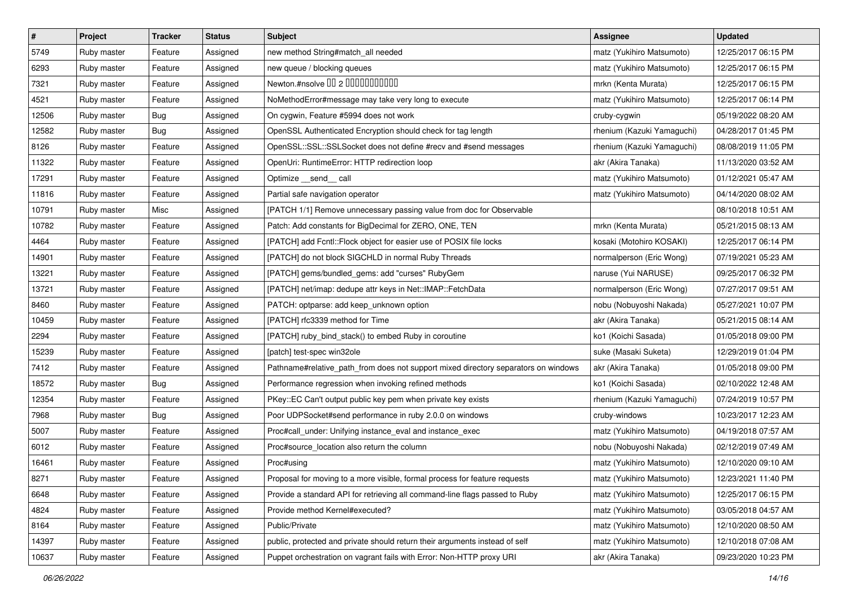| $\vert$ # | Project     | <b>Tracker</b> | <b>Status</b> | Subject                                                                            | <b>Assignee</b>            | <b>Updated</b>      |
|-----------|-------------|----------------|---------------|------------------------------------------------------------------------------------|----------------------------|---------------------|
| 5749      | Ruby master | Feature        | Assigned      | new method String#match_all needed                                                 | matz (Yukihiro Matsumoto)  | 12/25/2017 06:15 PM |
| 6293      | Ruby master | Feature        | Assigned      | new queue / blocking queues                                                        | matz (Yukihiro Matsumoto)  | 12/25/2017 06:15 PM |
| 7321      | Ruby master | Feature        | Assigned      | Newton.#nsolve 00 2 0000000000                                                     | mrkn (Kenta Murata)        | 12/25/2017 06:15 PM |
| 4521      | Ruby master | Feature        | Assigned      | NoMethodError#message may take very long to execute                                | matz (Yukihiro Matsumoto)  | 12/25/2017 06:14 PM |
| 12506     | Ruby master | Bug            | Assigned      | On cygwin, Feature #5994 does not work                                             | cruby-cygwin               | 05/19/2022 08:20 AM |
| 12582     | Ruby master | Bug            | Assigned      | OpenSSL Authenticated Encryption should check for tag length                       | rhenium (Kazuki Yamaguchi) | 04/28/2017 01:45 PM |
| 8126      | Ruby master | Feature        | Assigned      | OpenSSL::SSL::SSLSocket does not define #recv and #send messages                   | rhenium (Kazuki Yamaguchi) | 08/08/2019 11:05 PM |
| 11322     | Ruby master | Feature        | Assigned      | OpenUri: RuntimeError: HTTP redirection loop                                       | akr (Akira Tanaka)         | 11/13/2020 03:52 AM |
| 17291     | Ruby master | Feature        | Assigned      | Optimize __send__ call                                                             | matz (Yukihiro Matsumoto)  | 01/12/2021 05:47 AM |
| 11816     | Ruby master | Feature        | Assigned      | Partial safe navigation operator                                                   | matz (Yukihiro Matsumoto)  | 04/14/2020 08:02 AM |
| 10791     | Ruby master | Misc           | Assigned      | [PATCH 1/1] Remove unnecessary passing value from doc for Observable               |                            | 08/10/2018 10:51 AM |
| 10782     | Ruby master | Feature        | Assigned      | Patch: Add constants for BigDecimal for ZERO, ONE, TEN                             | mrkn (Kenta Murata)        | 05/21/2015 08:13 AM |
| 4464      | Ruby master | Feature        | Assigned      | [PATCH] add Fcntl:: Flock object for easier use of POSIX file locks                | kosaki (Motohiro KOSAKI)   | 12/25/2017 06:14 PM |
| 14901     | Ruby master | Feature        | Assigned      | [PATCH] do not block SIGCHLD in normal Ruby Threads                                | normalperson (Eric Wong)   | 07/19/2021 05:23 AM |
| 13221     | Ruby master | Feature        | Assigned      | [PATCH] gems/bundled_gems: add "curses" RubyGem                                    | naruse (Yui NARUSE)        | 09/25/2017 06:32 PM |
| 13721     | Ruby master | Feature        | Assigned      | [PATCH] net/imap: dedupe attr keys in Net::IMAP::FetchData                         | normalperson (Eric Wong)   | 07/27/2017 09:51 AM |
| 8460      | Ruby master | Feature        | Assigned      | PATCH: optparse: add keep_unknown option                                           | nobu (Nobuyoshi Nakada)    | 05/27/2021 10:07 PM |
| 10459     | Ruby master | Feature        | Assigned      | [PATCH] rfc3339 method for Time                                                    | akr (Akira Tanaka)         | 05/21/2015 08:14 AM |
| 2294      | Ruby master | Feature        | Assigned      | [PATCH] ruby_bind_stack() to embed Ruby in coroutine                               | ko1 (Koichi Sasada)        | 01/05/2018 09:00 PM |
| 15239     | Ruby master | Feature        | Assigned      | [patch] test-spec win32ole                                                         | suke (Masaki Suketa)       | 12/29/2019 01:04 PM |
| 7412      | Ruby master | Feature        | Assigned      | Pathname#relative_path_from does not support mixed directory separators on windows | akr (Akira Tanaka)         | 01/05/2018 09:00 PM |
| 18572     | Ruby master | Bug            | Assigned      | Performance regression when invoking refined methods                               | ko1 (Koichi Sasada)        | 02/10/2022 12:48 AM |
| 12354     | Ruby master | Feature        | Assigned      | PKey::EC Can't output public key pem when private key exists                       | rhenium (Kazuki Yamaguchi) | 07/24/2019 10:57 PM |
| 7968      | Ruby master | Bug            | Assigned      | Poor UDPSocket#send performance in ruby 2.0.0 on windows                           | cruby-windows              | 10/23/2017 12:23 AM |
| 5007      | Ruby master | Feature        | Assigned      | Proc#call_under: Unifying instance_eval and instance_exec                          | matz (Yukihiro Matsumoto)  | 04/19/2018 07:57 AM |
| 6012      | Ruby master | Feature        | Assigned      | Proc#source_location also return the column                                        | nobu (Nobuyoshi Nakada)    | 02/12/2019 07:49 AM |
| 16461     | Ruby master | Feature        | Assigned      | Proc#using                                                                         | matz (Yukihiro Matsumoto)  | 12/10/2020 09:10 AM |
| 8271      | Ruby master | Feature        | Assigned      | Proposal for moving to a more visible, formal process for feature requests         | matz (Yukihiro Matsumoto)  | 12/23/2021 11:40 PM |
| 6648      | Ruby master | Feature        | Assigned      | Provide a standard API for retrieving all command-line flags passed to Ruby        | matz (Yukihiro Matsumoto)  | 12/25/2017 06:15 PM |
| 4824      | Ruby master | Feature        | Assigned      | Provide method Kernel#executed?                                                    | matz (Yukihiro Matsumoto)  | 03/05/2018 04:57 AM |
| 8164      | Ruby master | Feature        | Assigned      | Public/Private                                                                     | matz (Yukihiro Matsumoto)  | 12/10/2020 08:50 AM |
| 14397     | Ruby master | Feature        | Assigned      | public, protected and private should return their arguments instead of self        | matz (Yukihiro Matsumoto)  | 12/10/2018 07:08 AM |
| 10637     | Ruby master | Feature        | Assigned      | Puppet orchestration on vagrant fails with Error: Non-HTTP proxy URI               | akr (Akira Tanaka)         | 09/23/2020 10:23 PM |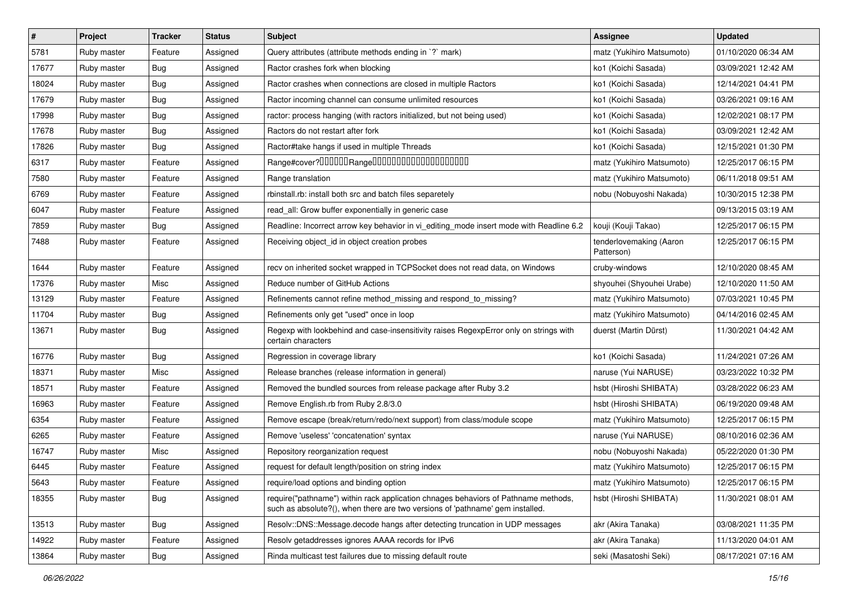| $\vert$ # | Project     | <b>Tracker</b> | <b>Status</b> | <b>Subject</b>                                                                                                                                                      | <b>Assignee</b>                       | <b>Updated</b>      |
|-----------|-------------|----------------|---------------|---------------------------------------------------------------------------------------------------------------------------------------------------------------------|---------------------------------------|---------------------|
| 5781      | Ruby master | Feature        | Assigned      | Query attributes (attribute methods ending in `?` mark)                                                                                                             | matz (Yukihiro Matsumoto)             | 01/10/2020 06:34 AM |
| 17677     | Ruby master | Bug            | Assigned      | Ractor crashes fork when blocking                                                                                                                                   | ko1 (Koichi Sasada)                   | 03/09/2021 12:42 AM |
| 18024     | Ruby master | <b>Bug</b>     | Assigned      | Ractor crashes when connections are closed in multiple Ractors                                                                                                      | ko1 (Koichi Sasada)                   | 12/14/2021 04:41 PM |
| 17679     | Ruby master | <b>Bug</b>     | Assigned      | Ractor incoming channel can consume unlimited resources                                                                                                             | ko1 (Koichi Sasada)                   | 03/26/2021 09:16 AM |
| 17998     | Ruby master | <b>Bug</b>     | Assigned      | ractor: process hanging (with ractors initialized, but not being used)                                                                                              | ko1 (Koichi Sasada)                   | 12/02/2021 08:17 PM |
| 17678     | Ruby master | <b>Bug</b>     | Assigned      | Ractors do not restart after fork                                                                                                                                   | ko1 (Koichi Sasada)                   | 03/09/2021 12:42 AM |
| 17826     | Ruby master | Bug            | Assigned      | Ractor#take hangs if used in multiple Threads                                                                                                                       | ko1 (Koichi Sasada)                   | 12/15/2021 01:30 PM |
| 6317      | Ruby master | Feature        | Assigned      | Range#cover?000000Range00000000000000000000                                                                                                                         | matz (Yukihiro Matsumoto)             | 12/25/2017 06:15 PM |
| 7580      | Ruby master | Feature        | Assigned      | Range translation                                                                                                                                                   | matz (Yukihiro Matsumoto)             | 06/11/2018 09:51 AM |
| 6769      | Ruby master | Feature        | Assigned      | rbinstall.rb: install both src and batch files separetely                                                                                                           | nobu (Nobuyoshi Nakada)               | 10/30/2015 12:38 PM |
| 6047      | Ruby master | Feature        | Assigned      | read_all: Grow buffer exponentially in generic case                                                                                                                 |                                       | 09/13/2015 03:19 AM |
| 7859      | Ruby master | <b>Bug</b>     | Assigned      | Readline: Incorrect arrow key behavior in vi_editing_mode insert mode with Readline 6.2                                                                             | kouji (Kouji Takao)                   | 12/25/2017 06:15 PM |
| 7488      | Ruby master | Feature        | Assigned      | Receiving object_id in object creation probes                                                                                                                       | tenderlovemaking (Aaron<br>Patterson) | 12/25/2017 06:15 PM |
| 1644      | Ruby master | Feature        | Assigned      | recv on inherited socket wrapped in TCPSocket does not read data, on Windows                                                                                        | cruby-windows                         | 12/10/2020 08:45 AM |
| 17376     | Ruby master | Misc           | Assigned      | Reduce number of GitHub Actions                                                                                                                                     | shyouhei (Shyouhei Urabe)             | 12/10/2020 11:50 AM |
| 13129     | Ruby master | Feature        | Assigned      | Refinements cannot refine method_missing and respond_to_missing?                                                                                                    | matz (Yukihiro Matsumoto)             | 07/03/2021 10:45 PM |
| 11704     | Ruby master | Bug            | Assigned      | Refinements only get "used" once in loop                                                                                                                            | matz (Yukihiro Matsumoto)             | 04/14/2016 02:45 AM |
| 13671     | Ruby master | <b>Bug</b>     | Assigned      | Regexp with lookbehind and case-insensitivity raises RegexpError only on strings with<br>certain characters                                                         | duerst (Martin Dürst)                 | 11/30/2021 04:42 AM |
| 16776     | Ruby master | <b>Bug</b>     | Assigned      | Regression in coverage library                                                                                                                                      | ko1 (Koichi Sasada)                   | 11/24/2021 07:26 AM |
| 18371     | Ruby master | Misc           | Assigned      | Release branches (release information in general)                                                                                                                   | naruse (Yui NARUSE)                   | 03/23/2022 10:32 PM |
| 18571     | Ruby master | Feature        | Assigned      | Removed the bundled sources from release package after Ruby 3.2                                                                                                     | hsbt (Hiroshi SHIBATA)                | 03/28/2022 06:23 AM |
| 16963     | Ruby master | Feature        | Assigned      | Remove English.rb from Ruby 2.8/3.0                                                                                                                                 | hsbt (Hiroshi SHIBATA)                | 06/19/2020 09:48 AM |
| 6354      | Ruby master | Feature        | Assigned      | Remove escape (break/return/redo/next support) from class/module scope                                                                                              | matz (Yukihiro Matsumoto)             | 12/25/2017 06:15 PM |
| 6265      | Ruby master | Feature        | Assigned      | Remove 'useless' 'concatenation' syntax                                                                                                                             | naruse (Yui NARUSE)                   | 08/10/2016 02:36 AM |
| 16747     | Ruby master | Misc           | Assigned      | Repository reorganization request                                                                                                                                   | nobu (Nobuyoshi Nakada)               | 05/22/2020 01:30 PM |
| 6445      | Ruby master | Feature        | Assigned      | request for default length/position on string index                                                                                                                 | matz (Yukihiro Matsumoto)             | 12/25/2017 06:15 PM |
| 5643      | Ruby master | Feature        | Assigned      | require/load options and binding option                                                                                                                             | matz (Yukihiro Matsumoto)             | 12/25/2017 06:15 PM |
| 18355     | Ruby master | <b>Bug</b>     | Assigned      | require("pathname") within rack application chnages behaviors of Pathname methods,<br>such as absolute?(), when there are two versions of 'pathname' gem installed. | hsbt (Hiroshi SHIBATA)                | 11/30/2021 08:01 AM |
| 13513     | Ruby master | Bug            | Assigned      | Resolv::DNS::Message.decode hangs after detecting truncation in UDP messages                                                                                        | akr (Akira Tanaka)                    | 03/08/2021 11:35 PM |
| 14922     | Ruby master | Feature        | Assigned      | Resolv getaddresses ignores AAAA records for IPv6                                                                                                                   | akr (Akira Tanaka)                    | 11/13/2020 04:01 AM |
| 13864     | Ruby master | Bug            | Assigned      | Rinda multicast test failures due to missing default route                                                                                                          | seki (Masatoshi Seki)                 | 08/17/2021 07:16 AM |